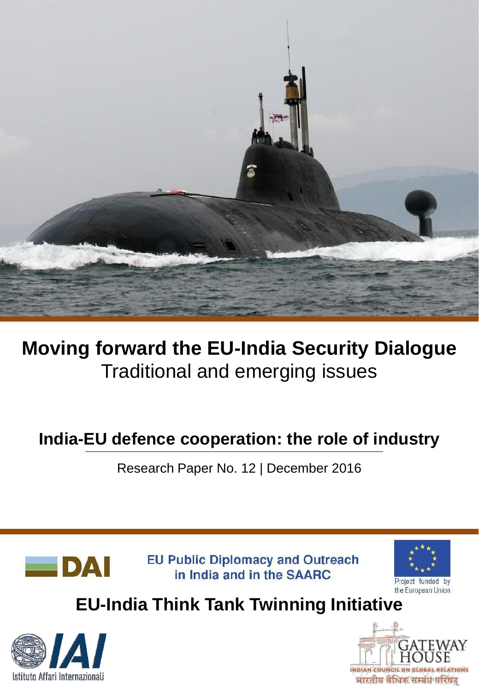

# **Moving forward the EU-India Security Dialogue** Traditional and emerging issues

## **India-EU defence cooperation: the role of industry**

Research Paper No. 12 | December 2016



**EU Public Diplomacy and Outreach** in India and in the SAARC



# **EU-India Think Tank Twinning Initiative**



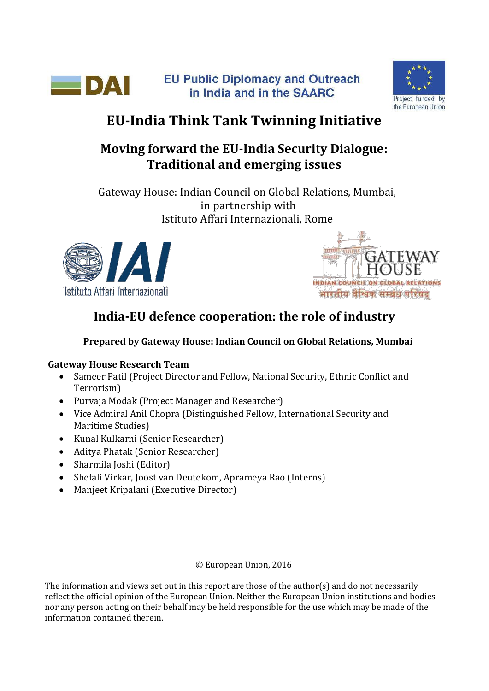



## **EU-India Think Tank Twinning Initiative**

### **Moving forward the EU-India Security Dialogue: Traditional and emerging issues**

Gateway House: Indian Council on Global Relations, Mumbai, in partnership with Istituto Affari Internazionali, Rome





## **India-EU defence cooperation: the role of industry**

### **Prepared by Gateway House: Indian Council on Global Relations, Mumbai**

#### **Gateway House Research Team**

- Sameer Patil (Project Director and Fellow, National Security, Ethnic Conflict and Terrorism)
- Purvaja Modak (Project Manager and Researcher)
- Vice Admiral Anil Chopra (Distinguished Fellow, International Security and Maritime Studies)
- Kunal Kulkarni (Senior Researcher)
- Aditya Phatak (Senior Researcher)
- Sharmila Joshi (Editor)
- Shefali Virkar, Joost van Deutekom, Aprameya Rao (Interns)
- Manjeet Kripalani (Executive Director)

© European Union, 2016

The information and views set out in this report are those of the author(s) and do not necessarily reflect the official opinion of the European Union. Neither the European Union institutions and bodies nor any person acting on their behalf may be held responsible for the use which may be made of the information contained therein.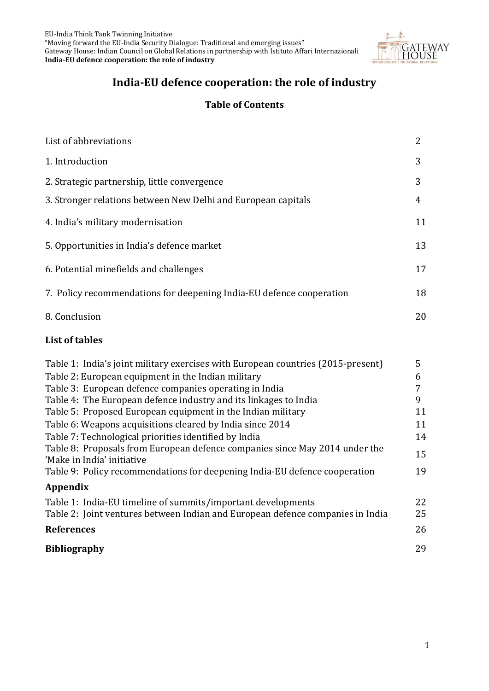EU-India Think Tank Twinning Initiative "Moving forward the EU-India Security Dialogue: Traditional and emerging issues" Gateway House: Indian Council on Global Relations in partnership with Istituto Affari Internazionali **India-EU defence cooperation: the role of industry**



### **India-EU defence cooperation: the role of industry**

#### **Table of Contents**

| List of abbreviations                                                | 2  |
|----------------------------------------------------------------------|----|
| 1. Introduction                                                      | 3  |
| 2. Strategic partnership, little convergence                         | 3  |
| 3. Stronger relations between New Delhi and European capitals        | 4  |
| 4. India's military modernisation                                    | 11 |
| 5. Opportunities in India's defence market                           | 13 |
| 6. Potential minefields and challenges                               | 17 |
| 7. Policy recommendations for deepening India-EU defence cooperation | 18 |
| 8. Conclusion                                                        | 20 |

#### **List of tables**

| Table 1: India's joint military exercises with European countries (2015-present) | 5  |
|----------------------------------------------------------------------------------|----|
| Table 2: European equipment in the Indian military                               | 6  |
| Table 3: European defence companies operating in India                           |    |
| Table 4: The European defence industry and its linkages to India                 | 9  |
| Table 5: Proposed European equipment in the Indian military                      | 11 |
| Table 6: Weapons acquisitions cleared by India since 2014                        | 11 |
| Table 7: Technological priorities identified by India                            | 14 |
| Table 8: Proposals from European defence companies since May 2014 under the      | 15 |
| 'Make in India' initiative                                                       |    |
| Table 9: Policy recommendations for deepening India-EU defence cooperation       | 19 |
| Appendix                                                                         |    |
| Table 1: India-EU timeline of summits/important developments                     | 22 |
| Table 2: Joint ventures between Indian and European defence companies in India   | 25 |
| <b>References</b>                                                                | 26 |
| <b>Bibliography</b>                                                              | 29 |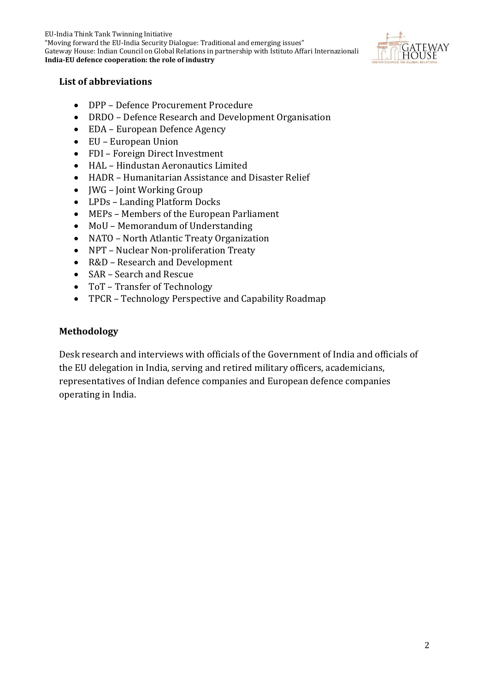EU-India Think Tank Twinning Initiative "Moving forward the EU-India Security Dialogue: Traditional and emerging issues" Gateway House: Indian Council on Global Relations in partnership with Istituto Affari Internazionali **India-EU defence cooperation: the role of industry**



#### **List of abbreviations**

- DPP Defence Procurement Procedure
- DRDO Defence Research and Development Organisation
- EDA European Defence Agency
- EU European Union
- FDI Foreign Direct Investment
- HAL Hindustan Aeronautics Limited
- HADR Humanitarian Assistance and Disaster Relief
- JWG Joint Working Group
- LPDs Landing Platform Docks
- MEPs Members of the European Parliament
- MoU Memorandum of Understanding
- NATO North Atlantic Treaty Organization
- NPT Nuclear Non-proliferation Treaty
- R&D Research and Development
- SAR Search and Rescue
- ToT Transfer of Technology
- TPCR Technology Perspective and Capability Roadmap

#### **Methodology**

Desk research and interviews with officials of the Government of India and officials of the EU delegation in India, serving and retired military officers, academicians, representatives of Indian defence companies and European defence companies operating in India.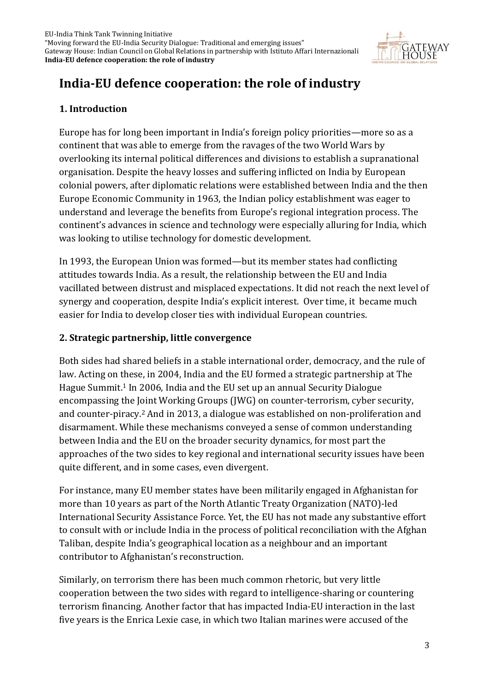

## **India-EU defence cooperation: the role of industry**

#### **1. Introduction**

Europe has for long been important in India's foreign policy priorities—more so as a continent that was able to emerge from the ravages of the two World Wars by overlooking its internal political differences and divisions to establish a supranational organisation. Despite the heavy losses and suffering inflicted on India by European colonial powers, after diplomatic relations were established between India and the then Europe Economic Community in 1963, the Indian policy establishment was eager to understand and leverage the benefits from Europe's regional integration process. The continent's advances in science and technology were especially alluring for India, which was looking to utilise technology for domestic development.

In 1993, the European Union was formed—but its member states had conflicting attitudes towards India. As a result, the relationship between the EU and India vacillated between distrust and misplaced expectations. It did not reach the next level of synergy and cooperation, despite India's explicit interest. Over time, it became much easier for India to develop closer ties with individual European countries.

#### **2. Strategic partnership, little convergence**

Both sides had shared beliefs in a stable international order, democracy, and the rule of law. Acting on these, in 2004, India and the EU formed a strategic partnership at The Hague Summit. <sup>1</sup> In 2006, India and the EU set up an annual Security Dialogue encompassing the Joint Working Groups (JWG) on counter-terrorism, cyber security, and counter-piracy.<sup>2</sup> And in 2013, a dialogue was established on non-proliferation and disarmament. While these mechanisms conveyed a sense of common understanding between India and the EU on the broader security dynamics, for most part the approaches of the two sides to key regional and international security issues have been quite different, and in some cases, even divergent.

For instance, many EU member states have been militarily engaged in Afghanistan for more than 10 years as part of the North Atlantic Treaty Organization (NATO)-led International Security Assistance Force. Yet, the EU has not made any substantive effort to consult with or include India in the process of political reconciliation with the Afghan Taliban, despite India's geographical location as a neighbour and an important contributor to Afghanistan's reconstruction.

Similarly, on terrorism there has been much common rhetoric, but very little cooperation between the two sides with regard to intelligence-sharing or countering terrorism financing. Another factor that has impacted India-EU interaction in the last five years is the Enrica Lexie case, in which two Italian marines were accused of the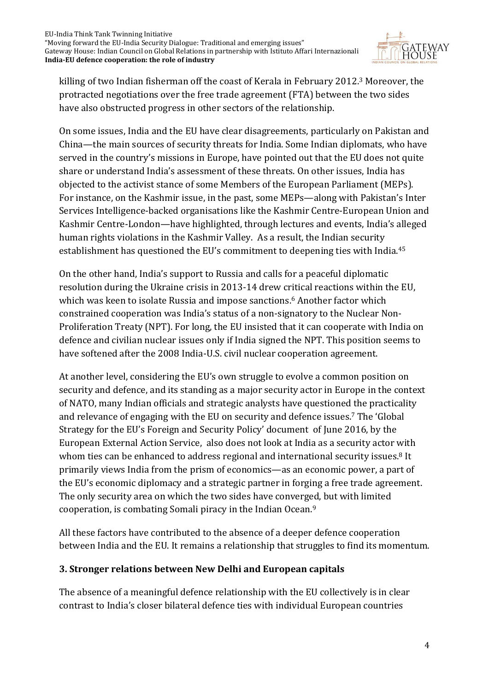

killing of two Indian fisherman off the coast of Kerala in February 2012. <sup>3</sup> Moreover, the protracted negotiations over the free trade agreement (FTA) between the two sides have also obstructed progress in other sectors of the relationship.

On some issues, India and the EU have clear disagreements, particularly on Pakistan and China—the main sources of security threats for India. Some Indian diplomats, who have served in the country's missions in Europe, have pointed out that the EU does not quite share or understand India's assessment of these threats. On other issues, India has objected to the activist stance of some Members of the European Parliament (MEPs). For instance, on the Kashmir issue, in the past, some MEPs—along with Pakistan's Inter Services Intelligence-backed organisations like the Kashmir Centre-European Union and Kashmir Centre-London—have highlighted, through lectures and events, India's alleged human rights violations in the Kashmir Valley. As a result, the Indian security establishment has questioned the EU's commitment to deepening ties with India.<sup>45</sup>

On the other hand, India's support to Russia and calls for a peaceful diplomatic resolution during the Ukraine crisis in 2013-14 drew critical reactions within the EU, which was keen to isolate Russia and impose sanctions. <sup>6</sup> Another factor which constrained cooperation was India's status of a non-signatory to the Nuclear Non-Proliferation Treaty (NPT). For long, the EU insisted that it can cooperate with India on defence and civilian nuclear issues only if India signed the NPT. This position seems to have softened after the 2008 India-U.S. civil nuclear cooperation agreement.

At another level, considering the EU's own struggle to evolve a common position on security and defence, and its standing as a major security actor in Europe in the context of NATO, many Indian officials and strategic analysts have questioned the practicality and relevance of engaging with the EU on security and defence issues.<sup>7</sup> The 'Global Strategy for the EU's Foreign and Security Policy' document of June 2016, by the European External Action Service, also does not look at India as a security actor with whom ties can be enhanced to address regional and international security issues.<sup>8</sup> It primarily views India from the prism of economics—as an economic power, a part of the EU's economic diplomacy and a strategic partner in forging a free trade agreement. The only security area on which the two sides have converged, but with limited cooperation, is combating Somali piracy in the Indian Ocean.<sup>9</sup>

All these factors have contributed to the absence of a deeper defence cooperation between India and the EU. It remains a relationship that struggles to find its momentum.

#### **3. Stronger relations between New Delhi and European capitals**

The absence of a meaningful defence relationship with the EU collectively is in clear contrast to India's closer bilateral defence ties with individual European countries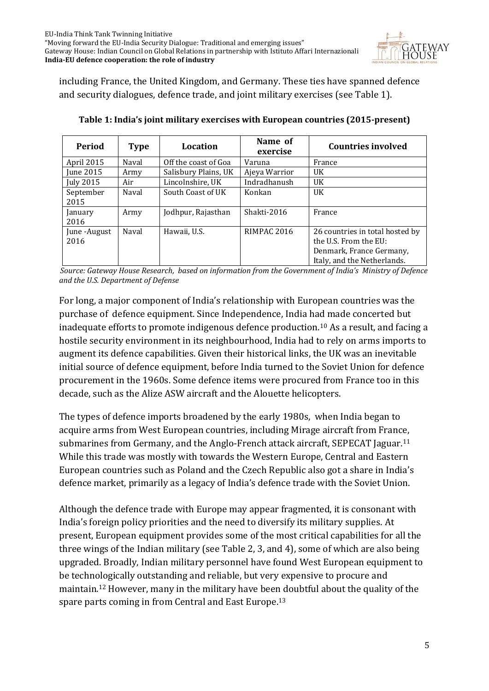

including France, the United Kingdom, and Germany. These ties have spanned defence and security dialogues, defence trade, and joint military exercises (see Table 1).

| Period                | <b>Type</b> | Location             | Name of<br>exercise | <b>Countries involved</b>                                                                                           |
|-----------------------|-------------|----------------------|---------------------|---------------------------------------------------------------------------------------------------------------------|
| April 2015            | Naval       | Off the coast of Goa | Varuna              | France                                                                                                              |
| June 2015             | Army        | Salisbury Plains, UK | Ajeya Warrior       | <b>UK</b>                                                                                                           |
| July 2015             | Air         | Lincolnshire, UK     | Indradhanush        | <b>UK</b>                                                                                                           |
| September<br>2015     | Naval       | South Coast of UK    | Konkan              | <b>UK</b>                                                                                                           |
| January<br>2016       | Army        | Jodhpur, Rajasthan   | Shakti-2016         | France                                                                                                              |
| June - August<br>2016 | Naval       | Hawaii, U.S.         | <b>RIMPAC 2016</b>  | 26 countries in total hosted by<br>the U.S. From the EU:<br>Denmark, France Germany,<br>Italy, and the Netherlands. |

|  | Table 1: India's joint military exercises with European countries (2015-present) |  |
|--|----------------------------------------------------------------------------------|--|
|  |                                                                                  |  |
|  |                                                                                  |  |

*Source: Gateway House Research, based on information from the Government of India's Ministry of Defence and the U.S. Department of Defense* 

For long, a major component of India's relationship with European countries was the purchase of defence equipment. Since Independence, India had made concerted but inadequate efforts to promote indigenous defence production.<sup>10</sup> As a result, and facing a hostile security environment in its neighbourhood, India had to rely on arms imports to augment its defence capabilities. Given their historical links, the UK was an inevitable initial source of defence equipment, before India turned to the Soviet Union for defence procurement in the 1960s. Some defence items were procured from France too in this decade, such as the Alize ASW aircraft and the Alouette helicopters.

The types of defence imports broadened by the early 1980s, when India began to acquire arms from West European countries, including Mirage aircraft from France, submarines from Germany, and the Anglo-French attack aircraft, SEPECAT Jaguar.<sup>11</sup> While this trade was mostly with towards the Western Europe, Central and Eastern European countries such as Poland and the Czech Republic also got a share in India's defence market, primarily as a legacy of India's defence trade with the Soviet Union.

Although the defence trade with Europe may appear fragmented, it is consonant with India's foreign policy priorities and the need to diversify its military supplies. At present, European equipment provides some of the most critical capabilities for all the three wings of the Indian military (see Table 2, 3, and 4), some of which are also being upgraded. Broadly, Indian military personnel have found West European equipment to be technologically outstanding and reliable, but very expensive to procure and maintain.<sup>12</sup> However, many in the military have been doubtful about the quality of the spare parts coming in from Central and East Europe.13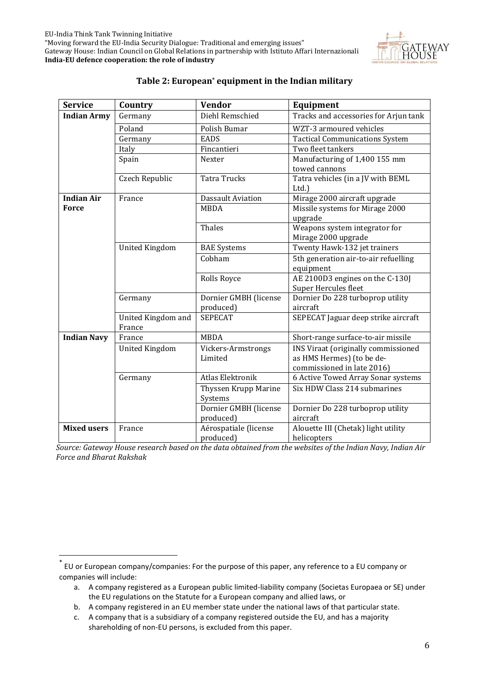

| <b>Service</b>     | Country                      | <b>Vendor</b>                      | Equipment                                                                                      |
|--------------------|------------------------------|------------------------------------|------------------------------------------------------------------------------------------------|
| <b>Indian Army</b> | Germany                      | Diehl Remschied                    | Tracks and accessories for Arjun tank                                                          |
|                    | Poland                       | Polish Bumar                       | WZT-3 armoured vehicles                                                                        |
|                    | Germany                      | <b>EADS</b>                        | <b>Tactical Communications System</b>                                                          |
|                    | Italy                        | Fincantieri                        | Two fleet tankers                                                                              |
|                    | Spain                        | Nexter                             | Manufacturing of 1,400 155 mm<br>towed cannons                                                 |
|                    | Czech Republic               | <b>Tatra Trucks</b>                | Tatra vehicles (in a JV with BEML<br>Ltd.)                                                     |
| <b>Indian Air</b>  | France                       | <b>Dassault Aviation</b>           | Mirage 2000 aircraft upgrade                                                                   |
| <b>Force</b>       |                              | <b>MBDA</b>                        | Missile systems for Mirage 2000<br>upgrade                                                     |
|                    |                              | Thales                             | Weapons system integrator for<br>Mirage 2000 upgrade                                           |
|                    | <b>United Kingdom</b>        | <b>BAE</b> Systems                 | Twenty Hawk-132 jet trainers                                                                   |
|                    |                              | Cobham                             | 5th generation air-to-air refuelling<br>equipment                                              |
|                    |                              | Rolls Royce                        | AE 2100D3 engines on the C-130J<br>Super Hercules fleet                                        |
|                    | Germany                      | Dornier GMBH (license<br>produced) | Dornier Do 228 turboprop utility<br>aircraft                                                   |
|                    | United Kingdom and<br>France | <b>SEPECAT</b>                     | SEPECAT Jaguar deep strike aircraft                                                            |
| <b>Indian Navy</b> | France                       | <b>MBDA</b>                        | Short-range surface-to-air missile                                                             |
|                    | <b>United Kingdom</b>        | Vickers-Armstrongs<br>Limited      | INS Viraat (originally commissioned<br>as HMS Hermes) (to be de-<br>commissioned in late 2016) |
|                    | Germany                      | <b>Atlas Elektronik</b>            | 6 Active Towed Array Sonar systems                                                             |
|                    |                              | Thyssen Krupp Marine<br>Systems    | Six HDW Class 214 submarines                                                                   |
|                    |                              | Dornier GMBH (license<br>produced) | Dornier Do 228 turboprop utility<br>aircraft                                                   |
| <b>Mixed users</b> | France                       | Aérospatiale (license<br>produced) | Alouette III (Chetak) light utility<br>helicopters                                             |

#### **Table 2: European\* equipment in the Indian military**

*Source: Gateway House research based on the data obtained from the websites of the Indian Navy, Indian Air Force and Bharat Rakshak*

**.** 

<sup>\*</sup> EU or European company/companies: For the purpose of this paper, any reference to a EU company or companies will include:

a. A company registered as a European public limited-liability company (Societas Europaea or SE) under the EU regulations on the Statute for a European company and allied laws, or

b. A company registered in an EU member state under the national laws of that particular state.

c. A company that is a subsidiary of a company registered outside the EU, and has a majority shareholding of non-EU persons, is excluded from this paper.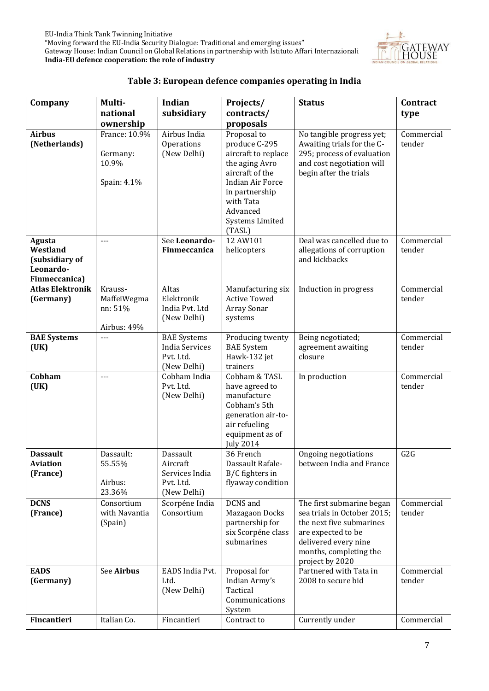

#### **Table 3: European defence companies operating in India**

| Company                                                            | Multi-                                            | Indian                                                                  | Projects/                                                                                                                                                                            | <b>Status</b>                                                                                                                                                                   | Contract             |
|--------------------------------------------------------------------|---------------------------------------------------|-------------------------------------------------------------------------|--------------------------------------------------------------------------------------------------------------------------------------------------------------------------------------|---------------------------------------------------------------------------------------------------------------------------------------------------------------------------------|----------------------|
|                                                                    | national                                          | subsidiary                                                              | contracts/                                                                                                                                                                           |                                                                                                                                                                                 | type                 |
|                                                                    | ownership                                         |                                                                         | proposals                                                                                                                                                                            |                                                                                                                                                                                 |                      |
| <b>Airbus</b><br>(Netherlands)                                     | France: 10.9%<br>Germany:<br>10.9%<br>Spain: 4.1% | Airbus India<br>Operations<br>(New Delhi)                               | Proposal to<br>produce C-295<br>aircraft to replace<br>the aging Avro<br>aircraft of the<br>Indian Air Force<br>in partnership<br>with Tata<br>Advanced<br>Systems Limited<br>(TASL) | No tangible progress yet;<br>Awaiting trials for the C-<br>295; process of evaluation<br>and cost negotiation will<br>begin after the trials                                    | Commercial<br>tender |
| Agusta<br>Westland<br>(subsidiary of<br>Leonardo-<br>Finmeccanica) | $- - -$                                           | See Leonardo-<br>Finmeccanica                                           | 12 AW101<br>helicopters                                                                                                                                                              | Deal was cancelled due to<br>allegations of corruption<br>and kickbacks                                                                                                         | Commercial<br>tender |
| <b>Atlas Elektronik</b>                                            | Krauss-                                           | Altas                                                                   | Manufacturing six                                                                                                                                                                    | Induction in progress                                                                                                                                                           | Commercial           |
| (Germany)                                                          | MaffeiWegma<br>nn: 51%<br>Airbus: 49%             | Elektronik<br>India Pvt. Ltd<br>(New Delhi)                             | <b>Active Towed</b><br>Array Sonar<br>systems                                                                                                                                        |                                                                                                                                                                                 | tender               |
| <b>BAE Systems</b><br>(UK)                                         | $---$                                             | <b>BAE</b> Systems<br><b>India Services</b><br>Pvt. Ltd.<br>(New Delhi) | Producing twenty<br><b>BAE</b> System<br>Hawk-132 jet<br>trainers                                                                                                                    | Being negotiated;<br>agreement awaiting<br>closure                                                                                                                              | Commercial<br>tender |
| Cobham<br>(UK)                                                     | $---$                                             | Cobham India<br>Pvt. Ltd.<br>(New Delhi)                                | Cobham & TASL<br>have agreed to<br>manufacture<br>Cobham's 5th<br>generation air-to-<br>air refueling<br>equipment as of<br><b>July 2014</b>                                         | In production                                                                                                                                                                   | Commercial<br>tender |
| <b>Dassault</b><br><b>Aviation</b><br>(France)                     | Dassault:<br>55.55%<br>Airbus:<br>23.36%          | Dassault<br>Aircraft<br>Services India<br>Pvt. Ltd.<br>(New Delhi)      | 36 French<br>Dassault Rafale-<br>B/C fighters in<br>flyaway condition                                                                                                                | Ongoing negotiations<br>between India and France                                                                                                                                | G2G                  |
| <b>DCNS</b><br>(France)                                            | Consortium<br>with Navantia<br>(Spain)            | Scorpéne India<br>Consortium                                            | DCNS and<br>Mazagaon Docks<br>partnership for<br>six Scorpéne class<br>submarines                                                                                                    | The first submarine began<br>sea trials in October 2015;<br>the next five submarines<br>are expected to be<br>delivered every nine<br>months, completing the<br>project by 2020 | Commercial<br>tender |
| <b>EADS</b><br>(Germany)                                           | See Airbus                                        | EADS India Pvt.<br>Ltd.<br>(New Delhi)                                  | Proposal for<br>Indian Army's<br>Tactical<br>Communications<br>System                                                                                                                | Partnered with Tata in<br>2008 to secure bid                                                                                                                                    | Commercial<br>tender |
| Fincantieri                                                        | Italian Co.                                       | Fincantieri                                                             | Contract to                                                                                                                                                                          | Currently under                                                                                                                                                                 | Commercial           |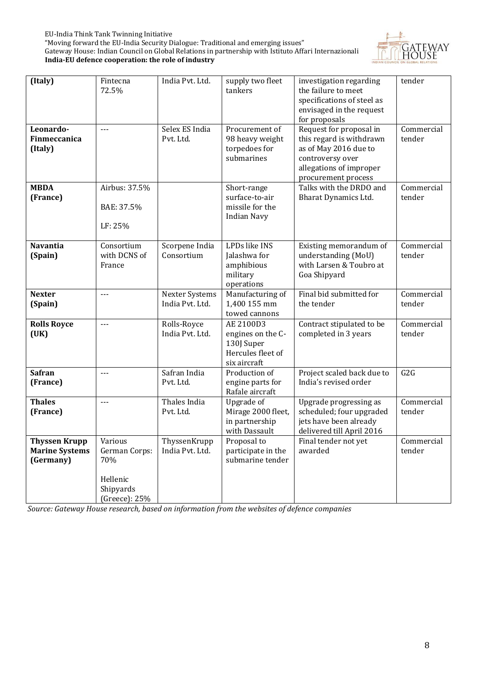

| (Italy)                   | Fintecna                           | India Pvt. Ltd.                   | supply two fleet                     | investigation regarding                             | tender               |
|---------------------------|------------------------------------|-----------------------------------|--------------------------------------|-----------------------------------------------------|----------------------|
|                           | 72.5%                              |                                   | tankers                              | the failure to meet                                 |                      |
|                           |                                    |                                   |                                      | specifications of steel as                          |                      |
|                           |                                    |                                   |                                      | envisaged in the request                            |                      |
|                           |                                    |                                   |                                      | for proposals                                       |                      |
| Leonardo-<br>Finmeccanica | $\omega\omega\omega$               | Selex ES India<br>Pvt. Ltd.       | Procurement of<br>98 heavy weight    | Request for proposal in<br>this regard is withdrawn | Commercial<br>tender |
| (Italy)                   |                                    |                                   | torpedoes for                        | as of May 2016 due to                               |                      |
|                           |                                    |                                   | submarines                           | controversy over                                    |                      |
|                           |                                    |                                   |                                      | allegations of improper                             |                      |
|                           |                                    |                                   |                                      | procurement process                                 |                      |
| <b>MBDA</b>               | Airbus: 37.5%                      |                                   | Short-range                          | Talks with the DRDO and                             | Commercial           |
| (France)                  |                                    |                                   | surface-to-air                       | Bharat Dynamics Ltd.                                | tender               |
|                           | BAE: 37.5%                         |                                   | missile for the                      |                                                     |                      |
|                           |                                    |                                   | <b>Indian Navy</b>                   |                                                     |                      |
|                           | LF: 25%                            |                                   |                                      |                                                     |                      |
| <b>Navantia</b>           | Consortium                         | Scorpene India                    | LPDs like INS                        | Existing memorandum of                              | Commercial           |
| (Spain)                   | with DCNS of                       | Consortium                        | Jalashwa for                         | understanding (MoU)                                 | tender               |
|                           | France                             |                                   | amphibious                           | with Larsen & Toubro at                             |                      |
|                           |                                    |                                   | military                             | Goa Shipyard                                        |                      |
| <b>Nexter</b>             | $---$                              |                                   | operations<br>Manufacturing of       | Final bid submitted for                             | Commercial           |
| (Spain)                   |                                    | Nexter Systems<br>India Pvt. Ltd. | 1,400 155 mm                         | the tender                                          | tender               |
|                           |                                    |                                   | towed cannons                        |                                                     |                      |
| <b>Rolls Royce</b>        | $\overline{a}$                     | Rolls-Royce                       | AE 2100D3                            | Contract stipulated to be                           | Commercial           |
|                           |                                    |                                   | engines on the C-                    | completed in 3 years                                | tender               |
|                           |                                    | India Pvt. Ltd.                   |                                      |                                                     |                      |
| (UK)                      |                                    |                                   | 130J Super                           |                                                     |                      |
|                           |                                    |                                   | Hercules fleet of                    |                                                     |                      |
|                           |                                    |                                   | six aircraft                         |                                                     |                      |
| <b>Safran</b>             | $\sim$ $\sim$ $\sim$               | Safran India                      | Production of                        | Project scaled back due to                          | G2G                  |
| (France)                  |                                    | Pvt. Ltd.                         | engine parts for                     | India's revised order                               |                      |
|                           |                                    |                                   | Rafale aircraft                      |                                                     |                      |
| <b>Thales</b>             | $\mathbb{L} \mathbb{L} \mathbb{L}$ | Thales India                      | Upgrade of                           | Upgrade progressing as                              | Commercial           |
| (France)                  |                                    | Pvt. Ltd.                         | Mirage 2000 fleet,<br>in partnership | scheduled; four upgraded                            | tender               |
|                           |                                    |                                   | with Dassault                        | jets have been already<br>delivered till April 2016 |                      |
| <b>Thyssen Krupp</b>      | Various                            | ThyssenKrupp                      | Proposal to                          | Final tender not yet                                | Commercial           |
| <b>Marine Systems</b>     | German Corps:                      | India Pvt. Ltd.                   | participate in the                   | awarded                                             | tender               |
| (Germany)                 | 70%                                |                                   | submarine tender                     |                                                     |                      |
|                           |                                    |                                   |                                      |                                                     |                      |
|                           | Hellenic<br>Shipyards              |                                   |                                      |                                                     |                      |

*Source: Gateway House research, based on information from the websites of defence companies*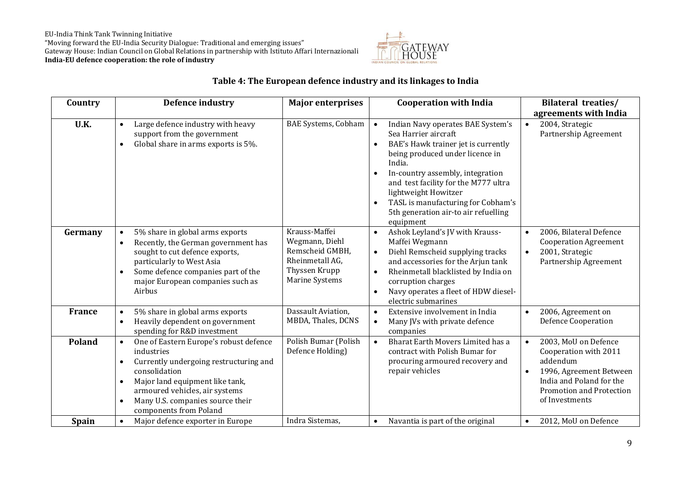EU-India Think Tank Twinning Initiative "Moving forward the EU-India Security Dialogue: Traditional and emerging issues" Gateway House: Indian Council on Global Relations in partnership with Istituto Affari Internazionali **India-EU defence cooperation: the role of industry**



#### **Table 4: The European defence industry and its linkages to India**

| Country       | <b>Defence industry</b>                                                                                                                                                                                                                                                                        | <b>Major enterprises</b>                                                                                 | <b>Cooperation with India</b>                                                                                                                                                                                                                                                                                                                                                                    | <b>Bilateral treaties/</b>                                                                                                                                                               |
|---------------|------------------------------------------------------------------------------------------------------------------------------------------------------------------------------------------------------------------------------------------------------------------------------------------------|----------------------------------------------------------------------------------------------------------|--------------------------------------------------------------------------------------------------------------------------------------------------------------------------------------------------------------------------------------------------------------------------------------------------------------------------------------------------------------------------------------------------|------------------------------------------------------------------------------------------------------------------------------------------------------------------------------------------|
|               |                                                                                                                                                                                                                                                                                                |                                                                                                          |                                                                                                                                                                                                                                                                                                                                                                                                  | agreements with India                                                                                                                                                                    |
| U.K.          | Large defence industry with heavy<br>$\bullet$<br>support from the government<br>Global share in arms exports is 5%.<br>$\bullet$                                                                                                                                                              | <b>BAE Systems, Cobham</b>                                                                               | Indian Navy operates BAE System's<br>$\bullet$<br>Sea Harrier aircraft<br>BAE's Hawk trainer jet is currently<br>$\bullet$<br>being produced under licence in<br>India.<br>In-country assembly, integration<br>$\bullet$<br>and test facility for the M777 ultra<br>lightweight Howitzer<br>TASL is manufacturing for Cobham's<br>$\bullet$<br>5th generation air-to air refuelling<br>equipment | 2004, Strategic<br>$\bullet$<br>Partnership Agreement                                                                                                                                    |
| Germany       | 5% share in global arms exports<br>$\bullet$<br>Recently, the German government has<br>$\bullet$<br>sought to cut defence exports,<br>particularly to West Asia<br>Some defence companies part of the<br>major European companies such as<br>Airbus                                            | Krauss-Maffei<br>Wegmann, Diehl<br>Remscheid GMBH,<br>Rheinmetall AG,<br>Thyssen Krupp<br>Marine Systems | Ashok Leyland's JV with Krauss-<br>$\bullet$<br>Maffei Wegmann<br>Diehl Remscheid supplying tracks<br>$\bullet$<br>and accessories for the Arjun tank<br>Rheinmetall blacklisted by India on<br>$\bullet$<br>corruption charges<br>Navy operates a fleet of HDW diesel-<br>$\bullet$<br>electric submarines                                                                                      | 2006, Bilateral Defence<br>$\bullet$<br><b>Cooperation Agreement</b><br>2001, Strategic<br>$\bullet$<br>Partnership Agreement                                                            |
| <b>France</b> | 5% share in global arms exports<br>Heavily dependent on government<br>$\bullet$<br>spending for R&D investment                                                                                                                                                                                 | Dassault Aviation,<br>MBDA, Thales, DCNS                                                                 | Extensive involvement in India<br>$\bullet$<br>Many JVs with private defence<br>$\bullet$<br>companies                                                                                                                                                                                                                                                                                           | 2006, Agreement on<br>$\bullet$<br><b>Defence Cooperation</b>                                                                                                                            |
| <b>Poland</b> | One of Eastern Europe's robust defence<br>$\bullet$<br>industries<br>Currently undergoing restructuring and<br>٠<br>consolidation<br>Major land equipment like tank,<br>$\bullet$<br>armoured vehicles, air systems<br>Many U.S. companies source their<br>$\bullet$<br>components from Poland | Polish Bumar (Polish<br>Defence Holding)                                                                 | Bharat Earth Movers Limited has a<br>$\bullet$<br>contract with Polish Bumar for<br>procuring armoured recovery and<br>repair vehicles                                                                                                                                                                                                                                                           | 2003, MoU on Defence<br>$\bullet$<br>Cooperation with 2011<br>addendum<br>1996, Agreement Between<br>$\bullet$<br>India and Poland for the<br>Promotion and Protection<br>of Investments |
| <b>Spain</b>  | Major defence exporter in Europe<br>$\bullet$                                                                                                                                                                                                                                                  | Indra Sistemas,                                                                                          | Navantia is part of the original<br>$\bullet$                                                                                                                                                                                                                                                                                                                                                    | 2012, MoU on Defence<br>$\bullet$                                                                                                                                                        |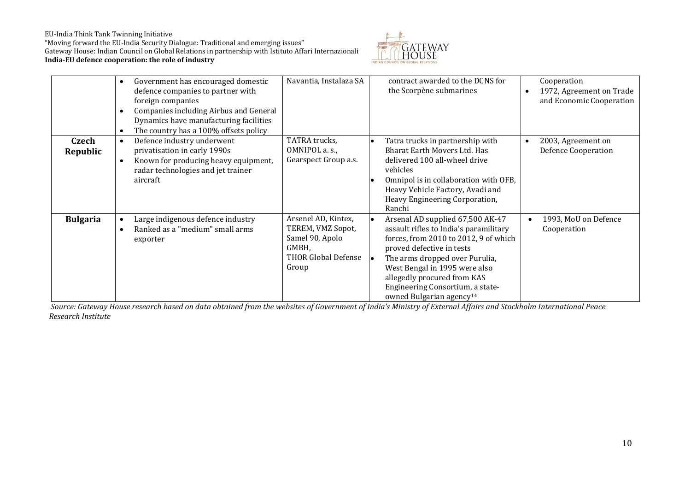#### EU-India Think Tank Twinning Initiative

"Moving forward the EU-India Security Dialogue: Traditional and emerging issues" Gateway House: Indian Council on Global Relations in partnership with Istituto Affari Internazionali **India-EU defence cooperation: the role of industry**



|                   | Government has encouraged domestic<br>$\bullet$<br>defence companies to partner with<br>foreign companies<br>Companies including Airbus and General<br>Dynamics have manufacturing facilities<br>The country has a 100% offsets policy | Navantia, Instalaza SA                                                                                      | contract awarded to the DCNS for<br>the Scorpène submarines                                                                                                                                                                                                                                                                    | Cooperation<br>1972, Agreement on Trade<br>$\bullet$<br>and Economic Cooperation |
|-------------------|----------------------------------------------------------------------------------------------------------------------------------------------------------------------------------------------------------------------------------------|-------------------------------------------------------------------------------------------------------------|--------------------------------------------------------------------------------------------------------------------------------------------------------------------------------------------------------------------------------------------------------------------------------------------------------------------------------|----------------------------------------------------------------------------------|
| Czech<br>Republic | Defence industry underwent<br>$\bullet$<br>privatisation in early 1990s<br>Known for producing heavy equipment,<br>radar technologies and jet trainer<br>aircraft                                                                      | TATRA trucks,<br>OMNIPOL a. s.,<br>Gearspect Group a.s.                                                     | Tatra trucks in partnership with<br><b>Bharat Earth Movers Ltd. Has</b><br>delivered 100 all-wheel drive<br>vehicles<br>Omnipol is in collaboration with OFB,<br>Heavy Vehicle Factory, Avadi and<br>Heavy Engineering Corporation,<br>Ranchi                                                                                  | 2003, Agreement on<br>$\bullet$<br><b>Defence Cooperation</b>                    |
| <b>Bulgaria</b>   | Large indigenous defence industry<br>Ranked as a "medium" small arms<br>exporter                                                                                                                                                       | Arsenel AD, Kintex,<br>TEREM, VMZ Sopot,<br>Samel 90, Apolo<br>GMBH,<br><b>THOR Global Defense</b><br>Group | Arsenal AD supplied 67,500 AK-47<br>assault rifles to India's paramilitary<br>forces, from 2010 to 2012, 9 of which<br>proved defective in tests<br>The arms dropped over Purulia,<br>West Bengal in 1995 were also<br>allegedly procured from KAS<br>Engineering Consortium, a state-<br>owned Bulgarian agency <sup>14</sup> | 1993, MoU on Defence<br>Cooperation                                              |

 *Source: Gateway House research based on data obtained from the websites of Government of India's Ministry of External Affairs and Stockholm International Peace Research Institute*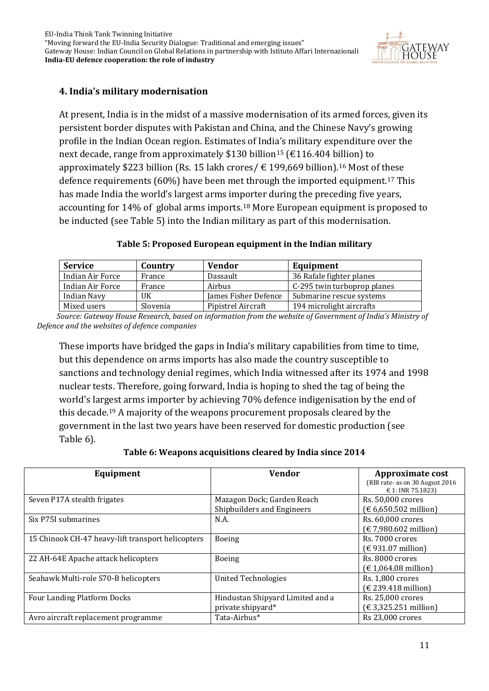

#### **4. India's military modernisation**

At present, India is in the midst of a massive modernisation of its armed forces, given its persistent border disputes with Pakistan and China, and the Chinese Navy's growing profile in the Indian Ocean region. Estimates of India's military expenditure over the next decade, range from approximately \$130 billion<sup>15</sup> ( $\epsilon$ 116.404 billion) to approximately \$223 billion (Rs. 15 lakh crores/ € 199,669 billion). <sup>16</sup> Most of these defence requirements (60%) have been met through the imported equipment.<sup>17</sup> This has made India the world's largest arms importer during the preceding five years, accounting for 14% of global arms imports.<sup>18</sup> More European equipment is proposed to be inducted (see Table 5) into the Indian military as part of this modernisation.

#### **Table 5: Proposed European equipment in the Indian military**

| <b>Service</b>   | Country  | <b>Vendor</b>        | Equipment                   |
|------------------|----------|----------------------|-----------------------------|
| Indian Air Force | France   | Dassault             | 36 Rafale fighter planes    |
| Indian Air Force | France   | Airbus               | C-295 twin turboprop planes |
| Indian Navy      | UK       | James Fisher Defence | Submarine rescue systems    |
| Mixed users      | Slovenia | Pipistrel Aircraft   | 194 microlight aircrafts    |

 *Source: Gateway House Research, based on information from the website of Government of India's Ministry of Defence and the websites of defence companies*

These imports have bridged the gaps in India's military capabilities from time to time, but this dependence on arms imports has also made the country susceptible to sanctions and technology denial regimes, which India witnessed after its 1974 and 1998 nuclear tests. Therefore, going forward, India is hoping to shed the tag of being the world's largest arms importer by achieving 70% defence indigenisation by the end of this decade.<sup>19</sup> A majority of the weapons procurement proposals cleared by the government in the last two years have been reserved for domestic production (see Table 6).

**Table 6: Weapons acquisitions cleared by India since 2014**

| Equipment                                         | <b>Vendor</b>                                            | <b>Approximate cost</b><br>(RBI rate- as on 30 August 2016)          |
|---------------------------------------------------|----------------------------------------------------------|----------------------------------------------------------------------|
| Seven P17A stealth frigates                       | Mazagon Dock; Garden Reach<br>Shipbuilders and Engineers | € 1: INR 75.1823)<br>Rs. 50,000 crores<br>(€ 6,650.502 million)      |
| Six P75I submarines                               | N.A.                                                     | Rs. 60,000 crores<br>(€ 7,980.602 million)                           |
| 15 Chinook CH-47 heavy-lift transport helicopters | <b>Boeing</b>                                            | Rs. 7000 crores<br>(€ 931.07 million)                                |
| 22 AH-64E Apache attack helicopters               | Boeing                                                   | Rs. 8000 crores<br>$(\text{\ensuremath{\in}}\,1{,}064.08$ million)   |
| Seahawk Multi-role S70-B helicopters              | <b>United Technologies</b>                               | Rs. 1,800 crores<br>$(\text{\textsterling} 239.418 \text{ million})$ |
| <b>Four Landing Platform Docks</b>                | Hindustan Shipyard Limited and a<br>private shipyard*    | Rs. 25,000 crores<br>$(€ 3,325.251$ million)                         |
| Avro aircraft replacement programme               | Tata-Airbus*                                             | Rs 23.000 crores                                                     |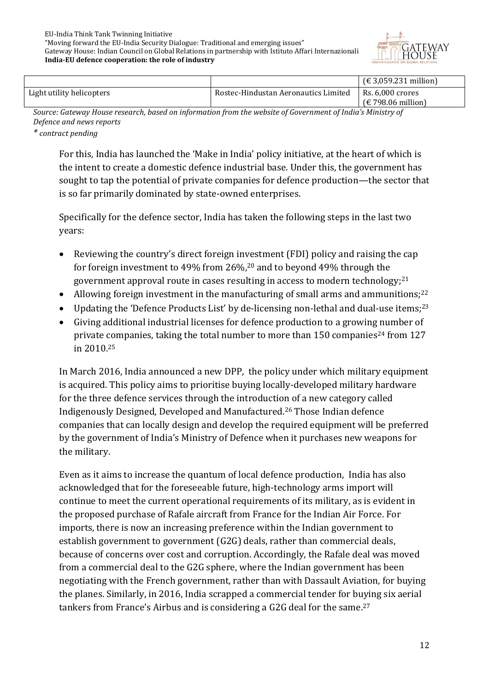

|                                                                                                         |                                      | $(€ 3,059.231$ million) |  |  |  |
|---------------------------------------------------------------------------------------------------------|--------------------------------------|-------------------------|--|--|--|
| Light utility helicopters                                                                               | Rostec-Hindustan Aeronautics Limited | $\mid$ Rs. 6.000 crores |  |  |  |
|                                                                                                         |                                      | $f \in 798.06$ million  |  |  |  |
| Course Catoura: House research, house information from the urbeits of Courrences of Judiale Ministry of |                                      |                         |  |  |  |

*Source: Gateway House research, based on information from the website of Government of India's Ministry of Defence and news reports*

*\* contract pending*

For this, India has launched the 'Make in India' policy initiative, at the heart of which is the intent to create a domestic defence industrial base. Under this, the government has sought to tap the potential of private companies for defence production—the sector that is so far primarily dominated by state-owned enterprises.

Specifically for the defence sector, India has taken the following steps in the last two years:

- Reviewing the country's direct foreign investment (FDI) policy and raising the cap for foreign investment to 49% from 26%, <sup>20</sup> and to beyond 49% through the government approval route in cases resulting in access to modern technology; 21
- Allowing foreign investment in the manufacturing of small arms and ammunitions; $^{22}$
- Updating the 'Defence Products List' by de-licensing non-lethal and dual-use items;<sup>23</sup>
- Giving additional industrial licenses for defence production to a growing number of private companies, taking the total number to more than  $150$  companies<sup>24</sup> from  $127$ in 2010.<sup>25</sup>

In March 2016, India announced a new DPP, the policy under which military equipment is acquired. This policy aims to prioritise buying locally-developed military hardware for the three defence services through the introduction of a new category called Indigenously Designed, Developed and Manufactured. <sup>26</sup> Those Indian defence companies that can locally design and develop the required equipment will be preferred by the government of India's Ministry of Defence when it purchases new weapons for the military.

Even as it aims to increase the quantum of local defence production, India has also acknowledged that for the foreseeable future, high-technology arms import will continue to meet the current operational requirements of its military, as is evident in the proposed purchase of Rafale aircraft from France for the Indian Air Force. For imports, there is now an increasing preference within the Indian government to establish government to government (G2G) deals, rather than commercial deals, because of concerns over cost and corruption. Accordingly, the Rafale deal was moved from a commercial deal to the G2G sphere, where the Indian government has been negotiating with the French government, rather than with Dassault Aviation, for buying the planes. Similarly, in 2016, India scrapped a commercial tender for buying six aerial tankers from France's Airbus and is considering a G2G deal for the same.27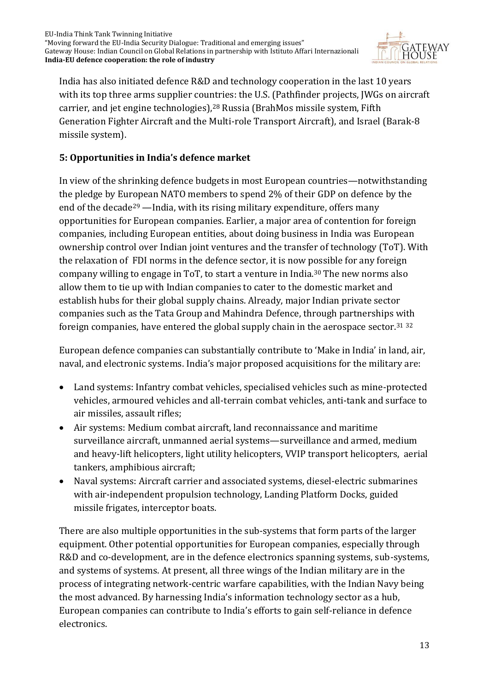

India has also initiated defence R&D and technology cooperation in the last 10 years with its top three arms supplier countries: the U.S. (Pathfinder projects, JWGs on aircraft carrier, and jet engine technologies), <sup>28</sup> Russia (BrahMos missile system, Fifth Generation Fighter Aircraft and the Multi-role Transport Aircraft), and Israel (Barak-8 missile system).

#### **5: Opportunities in India's defence market**

In view of the shrinking defence budgets in most European countries—notwithstanding the pledge by European NATO members to spend 2% of their GDP on defence by the end of the decade<sup>29</sup> —India, with its rising military expenditure, offers many opportunities for European companies. Earlier, a major area of contention for foreign companies, including European entities, about doing business in India was European ownership control over Indian joint ventures and the transfer of technology (ToT). With the relaxation of FDI norms in the defence sector, it is now possible for any foreign company willing to engage in ToT, to start a venture in India.<sup>30</sup> The new norms also allow them to tie up with Indian companies to cater to the domestic market and establish hubs for their global supply chains. Already, major Indian private sector companies such as the Tata Group and Mahindra Defence, through partnerships with foreign companies, have entered the global supply chain in the aerospace sector.<sup>31</sup> <sup>32</sup>

European defence companies can substantially contribute to 'Make in India' in land, air, naval, and electronic systems. India's major proposed acquisitions for the military are:

- Land systems: Infantry combat vehicles, specialised vehicles such as mine-protected vehicles, armoured vehicles and all-terrain combat vehicles, anti-tank and surface to air missiles, assault rifles;
- Air systems: Medium combat aircraft, land reconnaissance and maritime surveillance aircraft, unmanned aerial systems—surveillance and armed, medium and heavy-lift helicopters, light utility helicopters, VVIP transport helicopters, aerial tankers, amphibious aircraft;
- Naval systems: Aircraft carrier and associated systems, diesel-electric submarines with air-independent propulsion technology, Landing Platform Docks, guided missile frigates, interceptor boats.

There are also multiple opportunities in the sub-systems that form parts of the larger equipment. Other potential opportunities for European companies, especially through R&D and co-development, are in the defence electronics spanning systems, sub-systems, and systems of systems. At present, all three wings of the Indian military are in the process of integrating network-centric warfare capabilities, with the Indian Navy being the most advanced. By harnessing India's information technology sector as a hub, European companies can contribute to India's efforts to gain self-reliance in defence electronics.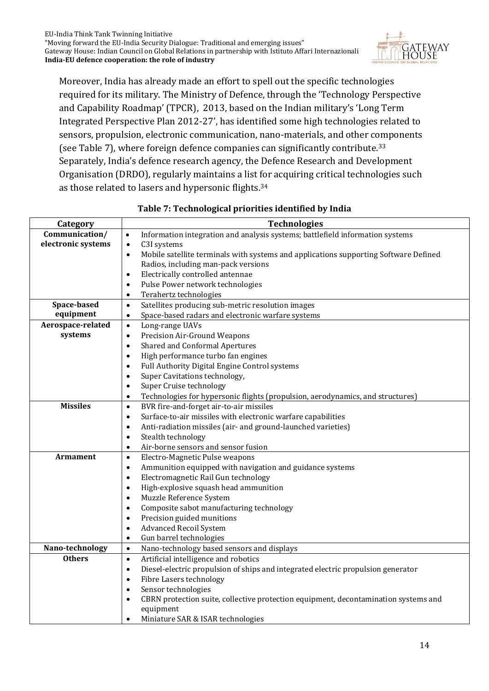

Moreover, India has already made an effort to spell out the specific technologies required for its military. The Ministry of Defence, through the 'Technology Perspective and Capability Roadmap' (TPCR), 2013, based on the Indian military's 'Long Term Integrated Perspective Plan 2012-27', has identified some high technologies related to sensors, propulsion, electronic communication, nano-materials, and other components (see Table 7), where foreign defence companies can significantly contribute.<sup>33</sup> Separately, India's defence research agency, the Defence Research and Development Organisation (DRDO), regularly maintains a list for acquiring critical technologies such as those related to lasers and hypersonic flights.<sup>34</sup>

| Category           | <b>Technologies</b>                                                                               |  |  |  |
|--------------------|---------------------------------------------------------------------------------------------------|--|--|--|
| Communication/     | Information integration and analysis systems; battlefield information systems<br>$\bullet$        |  |  |  |
| electronic systems | C3I systems<br>$\bullet$                                                                          |  |  |  |
|                    | Mobile satellite terminals with systems and applications supporting Software Defined<br>$\bullet$ |  |  |  |
|                    | Radios, including man-pack versions                                                               |  |  |  |
|                    | Electrically controlled antennae<br>$\bullet$                                                     |  |  |  |
|                    | Pulse Power network technologies<br>$\bullet$                                                     |  |  |  |
|                    | Terahertz technologies                                                                            |  |  |  |
| Space-based        | Satellites producing sub-metric resolution images<br>$\bullet$                                    |  |  |  |
| equipment          | Space-based radars and electronic warfare systems<br>$\bullet$                                    |  |  |  |
| Aerospace-related  | Long-range UAVs<br>$\bullet$                                                                      |  |  |  |
| systems            | Precision Air-Ground Weapons<br>$\bullet$                                                         |  |  |  |
|                    | <b>Shared and Conformal Apertures</b><br>$\bullet$                                                |  |  |  |
|                    | High performance turbo fan engines<br>$\bullet$                                                   |  |  |  |
|                    | Full Authority Digital Engine Control systems                                                     |  |  |  |
|                    | Super Cavitations technology,<br>$\bullet$                                                        |  |  |  |
|                    | Super Cruise technology<br>$\bullet$                                                              |  |  |  |
|                    | Technologies for hypersonic flights (propulsion, aerodynamics, and structures)<br>$\bullet$       |  |  |  |
| <b>Missiles</b>    | BVR fire-and-forget air-to-air missiles<br>$\bullet$                                              |  |  |  |
|                    | Surface-to-air missiles with electronic warfare capabilities<br>$\bullet$                         |  |  |  |
|                    | Anti-radiation missiles (air- and ground-launched varieties)<br>$\bullet$                         |  |  |  |
|                    | Stealth technology<br>$\bullet$                                                                   |  |  |  |
|                    | Air-borne sensors and sensor fusion<br>$\bullet$                                                  |  |  |  |
| Armament           | Electro-Magnetic Pulse weapons<br>$\bullet$                                                       |  |  |  |
|                    | Ammunition equipped with navigation and guidance systems<br>$\bullet$                             |  |  |  |
|                    | Electromagnetic Rail Gun technology<br>$\bullet$                                                  |  |  |  |
|                    | High-explosive squash head ammunition<br>$\bullet$                                                |  |  |  |
|                    | Muzzle Reference System<br>$\bullet$                                                              |  |  |  |
|                    | Composite sabot manufacturing technology                                                          |  |  |  |
|                    | Precision guided munitions<br>$\bullet$                                                           |  |  |  |
|                    | <b>Advanced Recoil System</b><br>$\bullet$                                                        |  |  |  |
|                    | Gun barrel technologies<br>$\bullet$                                                              |  |  |  |
| Nano-technology    | Nano-technology based sensors and displays<br>$\bullet$                                           |  |  |  |
| <b>Others</b>      | Artificial intelligence and robotics<br>$\bullet$                                                 |  |  |  |
|                    | Diesel-electric propulsion of ships and integrated electric propulsion generator<br>$\bullet$     |  |  |  |
|                    | Fibre Lasers technology<br>$\bullet$                                                              |  |  |  |
|                    | Sensor technologies                                                                               |  |  |  |
|                    | CBRN protection suite, collective protection equipment, decontamination systems and<br>$\bullet$  |  |  |  |
|                    | equipment                                                                                         |  |  |  |
|                    | Miniature SAR & ISAR technologies                                                                 |  |  |  |

#### **Table 7: Technological priorities identified by India**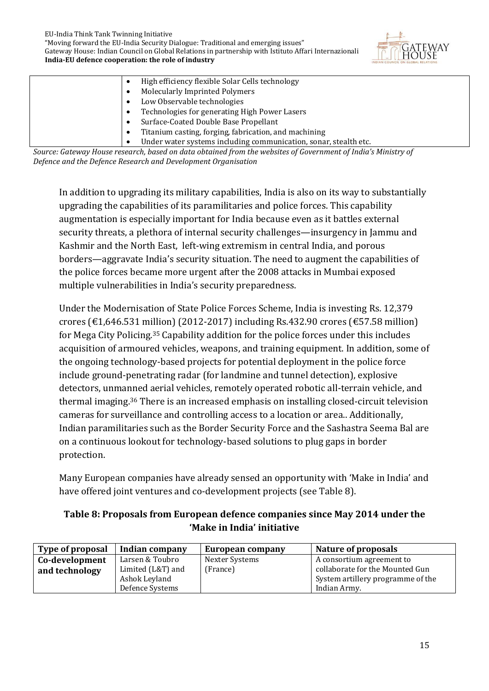

| High efficiency flexible Solar Cells technology                                                                                                                       |
|-----------------------------------------------------------------------------------------------------------------------------------------------------------------------|
| <b>Molecularly Imprinted Polymers</b>                                                                                                                                 |
| Low Observable technologies                                                                                                                                           |
| Technologies for generating High Power Lasers                                                                                                                         |
| Surface-Coated Double Base Propellant                                                                                                                                 |
| Titanium casting, forging, fabrication, and machining                                                                                                                 |
| Under water systems including communication, sonar, stealth etc.                                                                                                      |
| $C_1, \ldots, C_n$ , $C_2, \ldots, C_n$ , $C_3, \ldots, C_n$ , $C_4, \ldots, C_n$ , $C_5, \ldots, C_n$ , $C_6, \ldots, C_n$ , $C_7, \ldots, C_n$ , $C_7, \ldots, C_n$ |

*Source: Gateway House research, based on data obtained from the websites of Government of India's Ministry of Defence and the Defence Research and Development Organisation* 

In addition to upgrading its military capabilities, India is also on its way to substantially upgrading the capabilities of its paramilitaries and police forces. This capability augmentation is especially important for India because even as it battles external security threats, a plethora of internal security challenges—insurgency in Jammu and Kashmir and the North East, left-wing extremism in central India, and porous borders—aggravate India's security situation. The need to augment the capabilities of the police forces became more urgent after the 2008 attacks in Mumbai exposed multiple vulnerabilities in India's security preparedness.

Under the Modernisation of State Police Forces Scheme, India is investing Rs. 12,379 crores (€1,646.531 million) (2012-2017) including Rs.432.90 crores (€57.58 million) for Mega City Policing.<sup>35</sup> Capability addition for the police forces under this includes acquisition of armoured vehicles, weapons, and training equipment. In addition, some of the ongoing technology-based projects for potential deployment in the police force include ground-penetrating radar (for landmine and tunnel detection), explosive detectors, unmanned aerial vehicles, remotely operated robotic all-terrain vehicle, and thermal imaging.<sup>36</sup> There is an increased emphasis on installing closed-circuit television cameras for surveillance and controlling access to a location or area.. Additionally, Indian paramilitaries such as the Border Security Force and the Sashastra Seema Bal are on a continuous lookout for technology-based solutions to plug gaps in border protection.

Many European companies have already sensed an opportunity with 'Make in India' and have offered joint ventures and co-development projects (see Table 8).

#### **Table 8: Proposals from European defence companies since May 2014 under the 'Make in India' initiative**

| Type of proposal | Indian company    | European company | Nature of proposals               |
|------------------|-------------------|------------------|-----------------------------------|
| Co-development   | Larsen & Toubro   | Nexter Systems   | A consortium agreement to         |
| and technology   | Limited (L&T) and | (France)         | collaborate for the Mounted Gun   |
|                  | Ashok Leyland     |                  | System artillery programme of the |
|                  | Defence Systems   |                  | Indian Army.                      |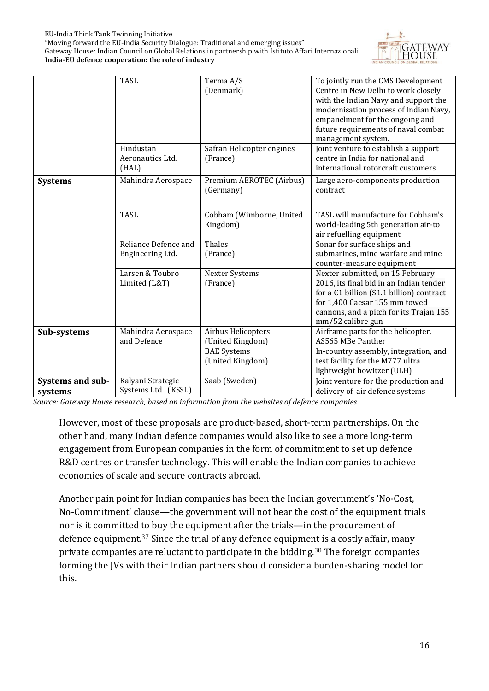"Moving forward the EU-India Security Dialogue: Traditional and emerging issues" Gateway House: Indian Council on Global Relations in partnership with Istituto Affari Internazionali **India-EU defence cooperation: the role of industry**



|                             | <b>TASL</b><br>Hindustan<br>Aeronautics Ltd.<br>(HAL) | Terma A/S<br>(Denmark)<br>Safran Helicopter engines<br>(France) | To jointly run the CMS Development<br>Centre in New Delhi to work closely<br>with the Indian Navy and support the<br>modernisation process of Indian Navy,<br>empanelment for the ongoing and<br>future requirements of naval combat<br>management system.<br>Joint venture to establish a support<br>centre in India for national and<br>international rotorcraft customers. |
|-----------------------------|-------------------------------------------------------|-----------------------------------------------------------------|-------------------------------------------------------------------------------------------------------------------------------------------------------------------------------------------------------------------------------------------------------------------------------------------------------------------------------------------------------------------------------|
| <b>Systems</b>              | Mahindra Aerospace                                    | Premium AEROTEC (Airbus)<br>(Germany)                           | Large aero-components production<br>contract                                                                                                                                                                                                                                                                                                                                  |
|                             | <b>TASL</b>                                           | Cobham (Wimborne, United<br>Kingdom)                            | TASL will manufacture for Cobham's<br>world-leading 5th generation air-to<br>air refuelling equipment                                                                                                                                                                                                                                                                         |
|                             | Reliance Defence and<br>Engineering Ltd.              | Thales<br>(France)                                              | Sonar for surface ships and<br>submarines, mine warfare and mine<br>counter-measure equipment                                                                                                                                                                                                                                                                                 |
|                             | Larsen & Toubro<br>Limited (L&T)                      | <b>Nexter Systems</b><br>(France)                               | Nexter submitted, on 15 February<br>2016, its final bid in an Indian tender<br>for a $\text{\textsterling}1$ billion (\$1.1 billion) contract<br>for 1,400 Caesar 155 mm towed<br>cannons, and a pitch for its Trajan 155<br>mm/52 calibre gun                                                                                                                                |
| Sub-systems                 | Mahindra Aerospace<br>and Defence                     | Airbus Helicopters<br>(United Kingdom)                          | Airframe parts for the helicopter,<br>AS565 MBe Panther                                                                                                                                                                                                                                                                                                                       |
|                             |                                                       | <b>BAE</b> Systems<br>(United Kingdom)                          | In-country assembly, integration, and<br>test facility for the M777 ultra<br>lightweight howitzer (ULH)                                                                                                                                                                                                                                                                       |
| Systems and sub-<br>systems | Kalyani Strategic<br>Systems Ltd. (KSSL)              | Saab (Sweden)                                                   | Joint venture for the production and<br>delivery of air defence systems                                                                                                                                                                                                                                                                                                       |

*Source: Gateway House research, based on information from the websites of defence companies*

However, most of these proposals are product-based, short-term partnerships. On the other hand, many Indian defence companies would also like to see a more long-term engagement from European companies in the form of commitment to set up defence R&D centres or transfer technology. This will enable the Indian companies to achieve economies of scale and secure contracts abroad.

Another pain point for Indian companies has been the Indian government's 'No-Cost, No-Commitment' clause—the government will not bear the cost of the equipment trials nor is it committed to buy the equipment after the trials—in the procurement of defence equipment.<sup>37</sup> Since the trial of any defence equipment is a costly affair, many private companies are reluctant to participate in the bidding.<sup>38</sup> The foreign companies forming the JVs with their Indian partners should consider a burden-sharing model for this.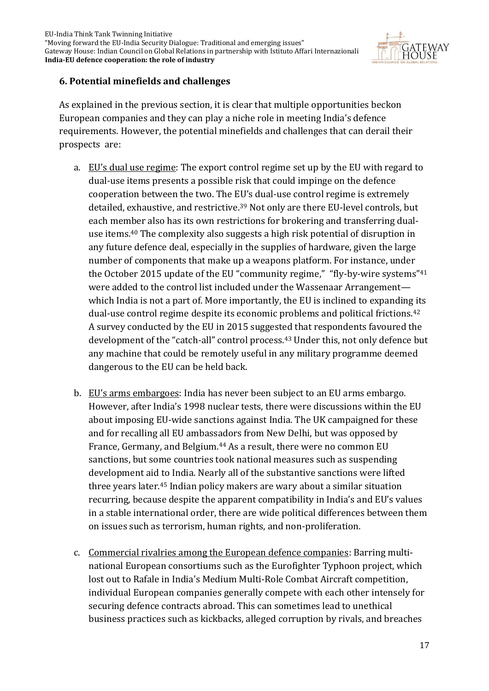

#### **6. Potential minefields and challenges**

As explained in the previous section, it is clear that multiple opportunities beckon European companies and they can play a niche role in meeting India's defence requirements. However, the potential minefields and challenges that can derail their prospects are:

- a. EU's dual use regime: The export control regime set up by the EU with regard to dual-use items presents a possible risk that could impinge on the defence cooperation between the two. The EU's dual-use control regime is extremely detailed, exhaustive, and restrictive.<sup>39</sup> Not only are there EU-level controls, but each member also has its own restrictions for brokering and transferring dualuse items.<sup>40</sup> The complexity also suggests a high risk potential of disruption in any future defence deal, especially in the supplies of hardware, given the large number of components that make up a weapons platform. For instance, under the October 2015 update of the EU "community regime," "fly-by-wire systems"<sup>41</sup> were added to the control list included under the Wassenaar Arrangement which India is not a part of. More importantly, the EU is inclined to expanding its dual-use control regime despite its economic problems and political frictions. 42 A survey conducted by the EU in 2015 suggested that respondents favoured the development of the "catch-all" control process.<sup>43</sup> Under this, not only defence but any machine that could be remotely useful in any military programme deemed dangerous to the EU can be held back.
- b. EU's arms embargoes: India has never been subject to an EU arms embargo. However, after India's 1998 nuclear tests, there were discussions within the EU about imposing EU-wide sanctions against India. The UK campaigned for these and for recalling all EU ambassadors from New Delhi, but was opposed by France, Germany, and Belgium.<sup>44</sup> As a result, there were no common EU sanctions, but some countries took national measures such as suspending development aid to India. Nearly all of the substantive sanctions were lifted three years later.<sup>45</sup> Indian policy makers are wary about a similar situation recurring, because despite the apparent compatibility in India's and EU's values in a stable international order, there are wide political differences between them on issues such as terrorism, human rights, and non-proliferation.
- c. Commercial rivalries among the European defence companies: Barring multinational European consortiums such as the Eurofighter Typhoon project, which lost out to Rafale in India's Medium Multi-Role Combat Aircraft competition, individual European companies generally compete with each other intensely for securing defence contracts abroad. This can sometimes lead to unethical business practices such as kickbacks, alleged corruption by rivals, and breaches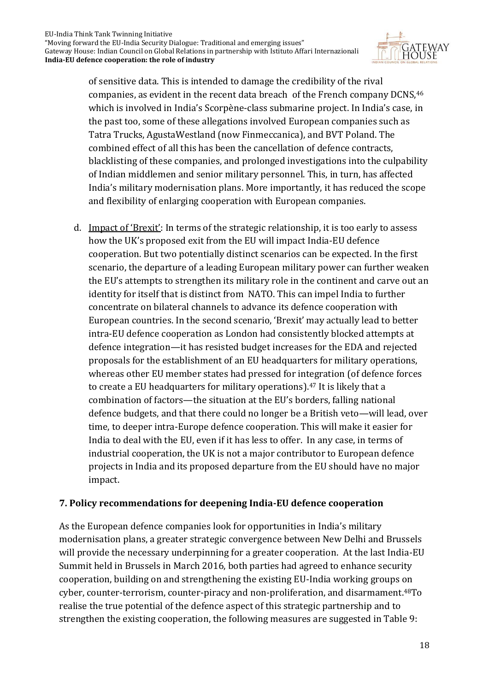

of sensitive data. This is intended to damage the credibility of the rival companies, as evident in the recent data breach of the French company DCNS, 46 which is involved in India's Scorpène-class submarine project. In India's case, in the past too, some of these allegations involved European companies such as Tatra Trucks, AgustaWestland (now Finmeccanica), and BVT Poland. The combined effect of all this has been the cancellation of defence contracts, blacklisting of these companies, and prolonged investigations into the culpability of Indian middlemen and senior military personnel. This, in turn, has affected India's military modernisation plans. More importantly, it has reduced the scope and flexibility of enlarging cooperation with European companies.

d. Impact of 'Brexit': In terms of the strategic relationship, it is too early to assess how the UK's proposed exit from the EU will impact India-EU defence cooperation. But two potentially distinct scenarios can be expected. In the first scenario, the departure of a leading European military power can further weaken the EU's attempts to strengthen its military role in the continent and carve out an identity for itself that is distinct from NATO. This can impel India to further concentrate on bilateral channels to advance its defence cooperation with European countries. In the second scenario, 'Brexit' may actually lead to better intra-EU defence cooperation as London had consistently blocked attempts at defence integration—it has resisted budget increases for the EDA and rejected proposals for the establishment of an EU headquarters for military operations, whereas other EU member states had pressed for integration (of defence forces to create a EU headquarters for military operations). <sup>47</sup> It is likely that a combination of factors—the situation at the EU's borders, falling national defence budgets, and that there could no longer be a British veto—will lead, over time, to deeper intra-Europe defence cooperation. This will make it easier for India to deal with the EU, even if it has less to offer. In any case, in terms of industrial cooperation, the UK is not a major contributor to European defence projects in India and its proposed departure from the EU should have no major impact.

#### **7. Policy recommendations for deepening India-EU defence cooperation**

As the European defence companies look for opportunities in India's military modernisation plans, a greater strategic convergence between New Delhi and Brussels will provide the necessary underpinning for a greater cooperation. At the last India-EU Summit held in Brussels in March 2016, both parties had agreed to enhance security cooperation, building on and strengthening the existing EU-India working groups on cyber, counter-terrorism, counter-piracy and non-proliferation, and disarmament.48To realise the true potential of the defence aspect of this strategic partnership and to strengthen the existing cooperation, the following measures are suggested in Table 9: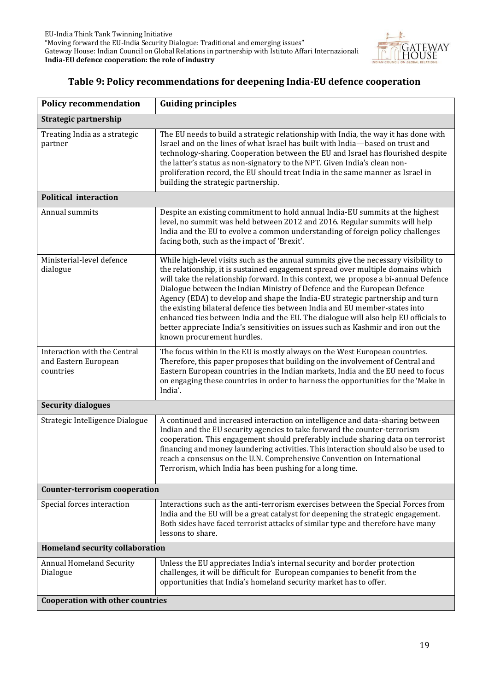

#### **Table 9: Policy recommendations for deepening India-EU defence cooperation**

| <b>Policy recommendation</b>                                      | <b>Guiding principles</b>                                                                                                                                                                                                                                                                                                                                                                                                                                                                                                                                                                                                                                                                                            |
|-------------------------------------------------------------------|----------------------------------------------------------------------------------------------------------------------------------------------------------------------------------------------------------------------------------------------------------------------------------------------------------------------------------------------------------------------------------------------------------------------------------------------------------------------------------------------------------------------------------------------------------------------------------------------------------------------------------------------------------------------------------------------------------------------|
| Strategic partnership                                             |                                                                                                                                                                                                                                                                                                                                                                                                                                                                                                                                                                                                                                                                                                                      |
| Treating India as a strategic<br>partner                          | The EU needs to build a strategic relationship with India, the way it has done with<br>Israel and on the lines of what Israel has built with India-based on trust and<br>technology-sharing. Cooperation between the EU and Israel has flourished despite<br>the latter's status as non-signatory to the NPT. Given India's clean non-<br>proliferation record, the EU should treat India in the same manner as Israel in<br>building the strategic partnership.                                                                                                                                                                                                                                                     |
| <b>Political interaction</b>                                      |                                                                                                                                                                                                                                                                                                                                                                                                                                                                                                                                                                                                                                                                                                                      |
| Annual summits                                                    | Despite an existing commitment to hold annual India-EU summits at the highest<br>level, no summit was held between 2012 and 2016. Regular summits will help<br>India and the EU to evolve a common understanding of foreign policy challenges<br>facing both, such as the impact of 'Brexit'.                                                                                                                                                                                                                                                                                                                                                                                                                        |
| Ministerial-level defence<br>dialogue                             | While high-level visits such as the annual summits give the necessary visibility to<br>the relationship, it is sustained engagement spread over multiple domains which<br>will take the relationship forward. In this context, we propose a bi-annual Defence<br>Dialogue between the Indian Ministry of Defence and the European Defence<br>Agency (EDA) to develop and shape the India-EU strategic partnership and turn<br>the existing bilateral defence ties between India and EU member-states into<br>enhanced ties between India and the EU. The dialogue will also help EU officials to<br>better appreciate India's sensitivities on issues such as Kashmir and iron out the<br>known procurement hurdles. |
| Interaction with the Central<br>and Eastern European<br>countries | The focus within in the EU is mostly always on the West European countries.<br>Therefore, this paper proposes that building on the involvement of Central and<br>Eastern European countries in the Indian markets, India and the EU need to focus<br>on engaging these countries in order to harness the opportunities for the 'Make in<br>India'.                                                                                                                                                                                                                                                                                                                                                                   |
| <b>Security dialogues</b>                                         |                                                                                                                                                                                                                                                                                                                                                                                                                                                                                                                                                                                                                                                                                                                      |
| Strategic Intelligence Dialogue                                   | A continued and increased interaction on intelligence and data-sharing between<br>Indian and the EU security agencies to take forward the counter-terrorism<br>cooperation. This engagement should preferably include sharing data on terrorist<br>financing and money laundering activities. This interaction should also be used to<br>reach a consensus on the U.N. Comprehensive Convention on International<br>Terrorism, which India has been pushing for a long time.                                                                                                                                                                                                                                         |
| <b>Counter-terrorism cooperation</b>                              |                                                                                                                                                                                                                                                                                                                                                                                                                                                                                                                                                                                                                                                                                                                      |
| Special forces interaction                                        | Interactions such as the anti-terrorism exercises between the Special Forces from<br>India and the EU will be a great catalyst for deepening the strategic engagement.<br>Both sides have faced terrorist attacks of similar type and therefore have many<br>lessons to share.                                                                                                                                                                                                                                                                                                                                                                                                                                       |
| <b>Homeland security collaboration</b>                            |                                                                                                                                                                                                                                                                                                                                                                                                                                                                                                                                                                                                                                                                                                                      |
| <b>Annual Homeland Security</b><br>Dialogue                       | Unless the EU appreciates India's internal security and border protection<br>challenges, it will be difficult for European companies to benefit from the<br>opportunities that India's homeland security market has to offer.                                                                                                                                                                                                                                                                                                                                                                                                                                                                                        |
| <b>Cooperation with other countries</b>                           |                                                                                                                                                                                                                                                                                                                                                                                                                                                                                                                                                                                                                                                                                                                      |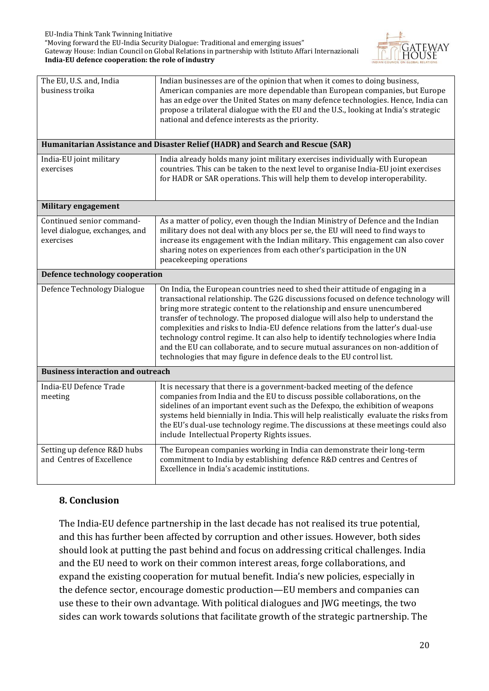"Moving forward the EU-India Security Dialogue: Traditional and emerging issues" Gateway House: Indian Council on Global Relations in partnership with Istituto Affari Internazionali **India-EU defence cooperation: the role of industry**



| The EU, U.S. and, India<br>business troika                               | Indian businesses are of the opinion that when it comes to doing business,<br>American companies are more dependable than European companies, but Europe<br>has an edge over the United States on many defence technologies. Hence, India can<br>propose a trilateral dialogue with the EU and the U.S., looking at India's strategic<br>national and defence interests as the priority.                                                                                                                                                                                                                                                                            |
|--------------------------------------------------------------------------|---------------------------------------------------------------------------------------------------------------------------------------------------------------------------------------------------------------------------------------------------------------------------------------------------------------------------------------------------------------------------------------------------------------------------------------------------------------------------------------------------------------------------------------------------------------------------------------------------------------------------------------------------------------------|
|                                                                          | Humanitarian Assistance and Disaster Relief (HADR) and Search and Rescue (SAR)                                                                                                                                                                                                                                                                                                                                                                                                                                                                                                                                                                                      |
| India-EU joint military<br>exercises                                     | India already holds many joint military exercises individually with European<br>countries. This can be taken to the next level to organise India-EU joint exercises<br>for HADR or SAR operations. This will help them to develop interoperability.                                                                                                                                                                                                                                                                                                                                                                                                                 |
| <b>Military engagement</b>                                               |                                                                                                                                                                                                                                                                                                                                                                                                                                                                                                                                                                                                                                                                     |
| Continued senior command-<br>level dialogue, exchanges, and<br>exercises | As a matter of policy, even though the Indian Ministry of Defence and the Indian<br>military does not deal with any blocs per se, the EU will need to find ways to<br>increase its engagement with the Indian military. This engagement can also cover<br>sharing notes on experiences from each other's participation in the UN<br>peacekeeping operations                                                                                                                                                                                                                                                                                                         |
| <b>Defence technology cooperation</b>                                    |                                                                                                                                                                                                                                                                                                                                                                                                                                                                                                                                                                                                                                                                     |
| Defence Technology Dialogue                                              | On India, the European countries need to shed their attitude of engaging in a<br>transactional relationship. The G2G discussions focused on defence technology will<br>bring more strategic content to the relationship and ensure unencumbered<br>transfer of technology. The proposed dialogue will also help to understand the<br>complexities and risks to India-EU defence relations from the latter's dual-use<br>technology control regime. It can also help to identify technologies where India<br>and the EU can collaborate, and to secure mutual assurances on non-addition of<br>technologies that may figure in defence deals to the EU control list. |
| <b>Business interaction and outreach</b>                                 |                                                                                                                                                                                                                                                                                                                                                                                                                                                                                                                                                                                                                                                                     |
| India-EU Defence Trade<br>meeting                                        | It is necessary that there is a government-backed meeting of the defence<br>companies from India and the EU to discuss possible collaborations, on the<br>sidelines of an important event such as the Defexpo, the exhibition of weapons<br>systems held biennially in India. This will help realistically evaluate the risks from<br>the EU's dual-use technology regime. The discussions at these meetings could also<br>include Intellectual Property Rights issues.                                                                                                                                                                                             |
| Setting up defence R&D hubs<br>and Centres of Excellence                 | The European companies working in India can demonstrate their long-term<br>commitment to India by establishing defence R&D centres and Centres of<br>Excellence in India's academic institutions.                                                                                                                                                                                                                                                                                                                                                                                                                                                                   |

#### **8. Conclusion**

The India-EU defence partnership in the last decade has not realised its true potential, and this has further been affected by corruption and other issues. However, both sides should look at putting the past behind and focus on addressing critical challenges. India and the EU need to work on their common interest areas, forge collaborations, and expand the existing cooperation for mutual benefit. India's new policies, especially in the defence sector, encourage domestic production—EU members and companies can use these to their own advantage. With political dialogues and JWG meetings, the two sides can work towards solutions that facilitate growth of the strategic partnership. The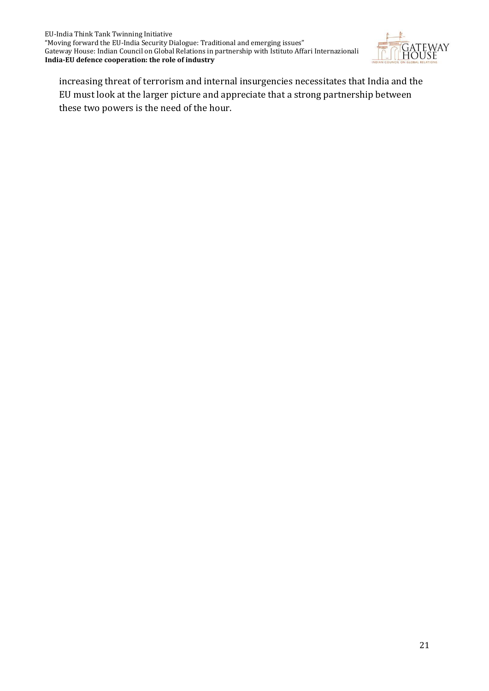

increasing threat of terrorism and internal insurgencies necessitates that India and the EU must look at the larger picture and appreciate that a strong partnership between these two powers is the need of the hour.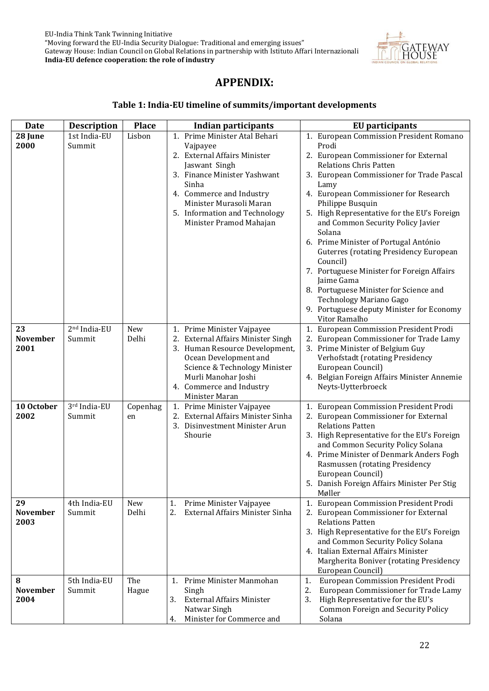

### **APPENDIX:**

#### **Table 1: India-EU timeline of summits/important developments**

| <b>Date</b>     | <b>Description</b>       | <b>Place</b> | <b>Indian participants</b>                      | <b>EU</b> participants                                            |
|-----------------|--------------------------|--------------|-------------------------------------------------|-------------------------------------------------------------------|
| 28 June         | 1st India-EU             | Lisbon       | 1. Prime Minister Atal Behari                   | 1. European Commission President Romano                           |
| 2000            | Summit                   |              | Vajpayee                                        | Prodi                                                             |
|                 |                          |              | 2. External Affairs Minister                    | 2. European Commissioner for External                             |
|                 |                          |              | Jaswant Singh                                   | <b>Relations Chris Patten</b>                                     |
|                 |                          |              | 3. Finance Minister Yashwant                    | 3. European Commissioner for Trade Pascal                         |
|                 |                          |              | Sinha                                           | Lamy                                                              |
|                 |                          |              | 4. Commerce and Industry                        | 4. European Commissioner for Research                             |
|                 |                          |              | Minister Murasoli Maran                         | Philippe Busquin                                                  |
|                 |                          |              | 5. Information and Technology                   | 5. High Representative for the EU's Foreign                       |
|                 |                          |              | Minister Pramod Mahajan                         | and Common Security Policy Javier<br>Solana                       |
|                 |                          |              |                                                 | 6. Prime Minister of Portugal António                             |
|                 |                          |              |                                                 | <b>Guterres (rotating Presidency European</b>                     |
|                 |                          |              |                                                 | Council)                                                          |
|                 |                          |              |                                                 | 7. Portuguese Minister for Foreign Affairs                        |
|                 |                          |              |                                                 | Jaime Gama                                                        |
|                 |                          |              |                                                 | 8. Portuguese Minister for Science and                            |
|                 |                          |              |                                                 | Technology Mariano Gago                                           |
|                 |                          |              |                                                 | 9. Portuguese deputy Minister for Economy                         |
|                 |                          |              |                                                 | Vitor Ramalho                                                     |
| 23              | 2 <sup>nd</sup> India-EU | New          | 1. Prime Minister Vajpayee                      | 1. European Commission President Prodi                            |
| <b>November</b> | Summit                   | Delhi        | 2. External Affairs Minister Singh              | 2. European Commissioner for Trade Lamy                           |
| 2001            |                          |              | 3. Human Resource Development,                  | 3. Prime Minister of Belgium Guy                                  |
|                 |                          |              | Ocean Development and                           | Verhofstadt (rotating Presidency                                  |
|                 |                          |              | Science & Technology Minister                   | European Council)                                                 |
|                 |                          |              | Murli Manohar Joshi<br>4. Commerce and Industry | 4. Belgian Foreign Affairs Minister Annemie<br>Neyts-Uytterbroeck |
|                 |                          |              | Minister Maran                                  |                                                                   |
| 10 October      | 3rd India-EU             | Copenhag     | 1. Prime Minister Vajpayee                      | 1. European Commission President Prodi                            |
| 2002            | Summit                   | en           | 2. External Affairs Minister Sinha              | 2. European Commissioner for External                             |
|                 |                          |              | 3. Disinvestment Minister Arun                  | <b>Relations Patten</b>                                           |
|                 |                          |              | Shourie                                         | 3. High Representative for the EU's Foreign                       |
|                 |                          |              |                                                 | and Common Security Policy Solana                                 |
|                 |                          |              |                                                 | 4. Prime Minister of Denmark Anders Fogh                          |
|                 |                          |              |                                                 | Rasmussen (rotating Presidency                                    |
|                 |                          |              |                                                 | European Council)                                                 |
|                 |                          |              |                                                 | 5. Danish Foreign Affairs Minister Per Stig<br>Møller             |
| 29              | 4th India-EU             | New          | Prime Minister Vajpayee<br>1.                   | 1. European Commission President Prodi                            |
| <b>November</b> | Summit                   | Delhi        | 2.<br>External Affairs Minister Sinha           | 2. European Commissioner for External                             |
| 2003            |                          |              |                                                 | <b>Relations Patten</b>                                           |
|                 |                          |              |                                                 | 3. High Representative for the EU's Foreign                       |
|                 |                          |              |                                                 | and Common Security Policy Solana                                 |
|                 |                          |              |                                                 | 4. Italian External Affairs Minister                              |
|                 |                          |              |                                                 | Margherita Boniver (rotating Presidency                           |
|                 |                          |              |                                                 | European Council)                                                 |
| 8               | 5th India-EU             | The          | 1. Prime Minister Manmohan                      | European Commission President Prodi<br>1.                         |
| <b>November</b> | Summit                   | Hague        | Singh                                           | European Commissioner for Trade Lamy<br>2.                        |
| 2004            |                          |              | 3.<br><b>External Affairs Minister</b>          | High Representative for the EU's<br>3.                            |
|                 |                          |              | Natwar Singh                                    | <b>Common Foreign and Security Policy</b>                         |
|                 |                          |              | Minister for Commerce and<br>4.                 | Solana                                                            |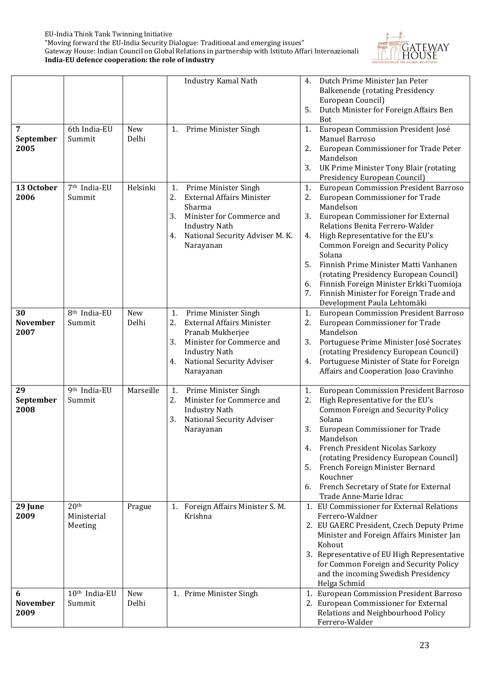

|                               |                                            |              | Industry Kamal Nath                                                                                                                                                                                 | Dutch Prime Minister Jan Peter<br>4.<br><b>Balkenende (rotating Presidency</b><br>European Council)<br>5.<br>Dutch Minister for Foreign Affairs Ben<br><b>Bot</b>                                                                                                                                                                                                                                                                                                                                                 |
|-------------------------------|--------------------------------------------|--------------|-----------------------------------------------------------------------------------------------------------------------------------------------------------------------------------------------------|-------------------------------------------------------------------------------------------------------------------------------------------------------------------------------------------------------------------------------------------------------------------------------------------------------------------------------------------------------------------------------------------------------------------------------------------------------------------------------------------------------------------|
| 7<br>September<br>2005        | 6th India-EU<br>Summit                     | New<br>Delhi | Prime Minister Singh<br>1.                                                                                                                                                                          | European Commission President José<br>1.<br>Manuel Barroso<br>2.<br>European Commissioner for Trade Peter<br>Mandelson<br>3.<br>UK Prime Minister Tony Blair (rotating<br>Presidency European Council)                                                                                                                                                                                                                                                                                                            |
| 13 October<br>2006            | 7 <sup>th</sup> India-EU<br>Summit         | Helsinki     | Prime Minister Singh<br>1.<br>2.<br><b>External Affairs Minister</b><br>Sharma<br>3.<br>Minister for Commerce and<br><b>Industry Nath</b><br>National Security Adviser M. K.<br>4.<br>Narayanan     | <b>European Commission President Barroso</b><br>1.<br>2.<br>European Commissioner for Trade<br>Mandelson<br>3.<br>European Commissioner for External<br>Relations Benita Ferrero-Walder<br>High Representative for the EU's<br>4.<br><b>Common Foreign and Security Policy</b><br>Solana<br>Finnish Prime Minister Matti Vanhanen<br>5.<br>(rotating Presidency European Council)<br>Finnish Foreign Minister Erkki Tuomioja<br>6.<br>Finnish Minister for Foreign Trade and<br>7.<br>Development Paula Lehtomäki |
| 30<br><b>November</b><br>2007 | 8 <sup>th</sup> India-EU<br>Summit         | New<br>Delhi | Prime Minister Singh<br>1.<br>2.<br><b>External Affairs Minister</b><br>Pranab Mukherjee<br>3.<br>Minister for Commerce and<br><b>Industry Nath</b><br>National Security Adviser<br>4.<br>Narayanan | European Commission President Barroso<br>1.<br>2.<br>European Commissioner for Trade<br>Mandelson<br>3.<br>Portuguese Prime Minister José Socrates<br>(rotating Presidency European Council)<br>Portuguese Minister of State for Foreign<br>4.<br>Affairs and Cooperation Joao Cravinho                                                                                                                                                                                                                           |
| 29<br>September<br>2008       | $9th$ India-EU<br>Summit                   | Marseille    | Prime Minister Singh<br>1.<br>2.<br>Minister for Commerce and<br><b>Industry Nath</b><br>3.<br>National Security Adviser<br>Narayanan                                                               | <b>European Commission President Barroso</b><br>1.<br>2.<br>High Representative for the EU's<br><b>Common Foreign and Security Policy</b><br>Solana<br>3.<br>European Commissioner for Trade<br>Mandelson<br>French President Nicolas Sarkozy<br>4.<br>(rotating Presidency European Council)<br>5.<br>French Foreign Minister Bernard<br>Kouchner<br>French Secretary of State for External<br>6.<br>Trade Anne-Marie Idrac                                                                                      |
| 29 June<br>2009               | 20 <sup>th</sup><br>Ministerial<br>Meeting | Prague       | 1. Foreign Affairs Minister S.M.<br>Krishna                                                                                                                                                         | 1. EU Commissioner for External Relations<br>Ferrero-Waldner<br>2. EU GAERC President, Czech Deputy Prime<br>Minister and Foreign Affairs Minister Jan<br>Kohout<br>3. Representative of EU High Representative<br>for Common Foreign and Security Policy<br>and the incoming Swedish Presidency<br>Helga Schmid                                                                                                                                                                                                  |
| 6<br><b>November</b><br>2009  | $10th$ India-EU<br>Summit                  | New<br>Delhi | 1. Prime Minister Singh                                                                                                                                                                             | 1. European Commission President Barroso<br>2. European Commissioner for External<br>Relations and Neighbourhood Policy<br>Ferrero-Walder                                                                                                                                                                                                                                                                                                                                                                         |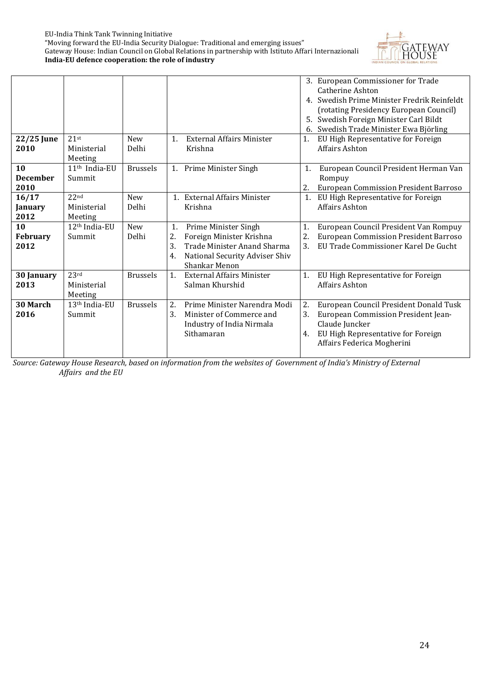

|                         |                                      |                 |                                                                     |                | 3. European Commissioner for Trade<br><b>Catherine Ashton</b>                 |
|-------------------------|--------------------------------------|-----------------|---------------------------------------------------------------------|----------------|-------------------------------------------------------------------------------|
|                         |                                      |                 |                                                                     |                | 4. Swedish Prime Minister Fredrik Reinfeldt                                   |
|                         |                                      |                 |                                                                     |                | (rotating Presidency European Council)                                        |
|                         |                                      |                 |                                                                     |                | 5. Swedish Foreign Minister Carl Bildt                                        |
|                         |                                      |                 |                                                                     |                | 6. Swedish Trade Minister Ewa Björling                                        |
| 22/25 June              | 21st                                 | <b>New</b>      | <b>External Affairs Minister</b><br>1.                              | 1.             | EU High Representative for Foreign                                            |
| 2010                    | Ministerial                          | Delhi           | Krishna                                                             |                | Affairs Ashton                                                                |
|                         | Meeting                              |                 |                                                                     |                |                                                                               |
| 10                      | 11 <sup>th</sup> India-EU            | <b>Brussels</b> | 1. Prime Minister Singh                                             | 1.             | European Council President Herman Van                                         |
| <b>December</b>         | Summit                               |                 |                                                                     |                | Rompuy                                                                        |
| 2010                    | 22 <sub>nd</sub>                     |                 |                                                                     | 2.             | <b>European Commission President Barroso</b>                                  |
| 16/17                   |                                      | <b>New</b>      | 1. External Affairs Minister                                        | $\mathbf{1}$ . | EU High Representative for Foreign                                            |
| January<br>2012         | Ministerial                          | Delhi           | Krishna                                                             |                | <b>Affairs Ashton</b>                                                         |
| 10                      | Meeting<br>12 <sup>th</sup> India-EU | <b>New</b>      | 1.                                                                  | 1.             |                                                                               |
|                         | Summit                               | Delhi           | Prime Minister Singh                                                | 2.             | European Council President Van Rompuy                                         |
| <b>February</b><br>2012 |                                      |                 | Foreign Minister Krishna<br>2.<br>3.<br>Trade Minister Anand Sharma | 3.             | European Commission President Barroso<br>EU Trade Commissioner Karel De Gucht |
|                         |                                      |                 |                                                                     |                |                                                                               |
|                         |                                      |                 | National Security Adviser Shiv<br>4.<br>Shankar Menon               |                |                                                                               |
| 30 January              | 23 <sup>rd</sup>                     | <b>Brussels</b> | <b>External Affairs Minister</b><br>1 <sub>1</sub>                  | 1.             | EU High Representative for Foreign                                            |
| 2013                    | Ministerial                          |                 | Salman Khurshid                                                     |                | Affairs Ashton                                                                |
|                         | Meeting                              |                 |                                                                     |                |                                                                               |
| 30 March                | 13 <sup>th</sup> India-EU            | <b>Brussels</b> | 2.<br>Prime Minister Narendra Modi                                  | 2.             | European Council President Donald Tusk                                        |
| 2016                    | Summit                               |                 | Minister of Commerce and<br>3.                                      | 3.             | European Commission President Jean-                                           |
|                         |                                      |                 | Industry of India Nirmala                                           |                | Claude Juncker                                                                |
|                         |                                      |                 | Sithamaran                                                          | 4.             | EU High Representative for Foreign                                            |
|                         |                                      |                 |                                                                     |                | Affairs Federica Mogherini                                                    |
|                         |                                      |                 |                                                                     |                |                                                                               |

*Source: Gateway House Research, based on information from the websites of Government of India's Ministry of External Affairs and the EU*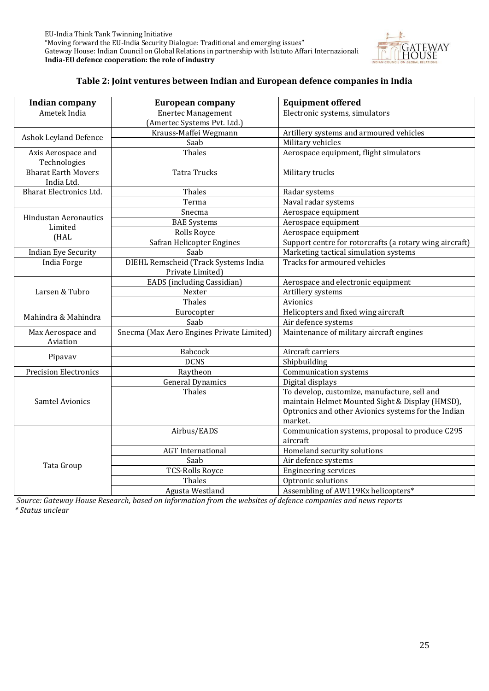

#### **Table 2: Joint ventures between Indian and European defence companies in India**

| <b>Indian company</b>          | <b>European company</b>                   | <b>Equipment offered</b>                                |  |  |
|--------------------------------|-------------------------------------------|---------------------------------------------------------|--|--|
| Ametek India                   | <b>Enertec Management</b>                 | Electronic systems, simulators                          |  |  |
|                                | (Amertec Systems Pvt. Ltd.)               |                                                         |  |  |
| Ashok Leyland Defence          | Krauss-Maffei Wegmann                     | Artillery systems and armoured vehicles                 |  |  |
|                                | Saab                                      | Military vehicles                                       |  |  |
| Axis Aerospace and             | Thales                                    | Aerospace equipment, flight simulators                  |  |  |
| Technologies                   |                                           |                                                         |  |  |
| <b>Bharat Earth Movers</b>     | <b>Tatra Trucks</b>                       | Military trucks                                         |  |  |
| India Ltd.                     |                                           |                                                         |  |  |
| <b>Bharat Electronics Ltd.</b> | Thales                                    | Radar systems                                           |  |  |
|                                | Terma                                     | Naval radar systems                                     |  |  |
| <b>Hindustan Aeronautics</b>   | Snecma                                    | Aerospace equipment                                     |  |  |
| Limited                        | <b>BAE</b> Systems                        | Aerospace equipment                                     |  |  |
| (HAL                           | Rolls Royce                               | Aerospace equipment                                     |  |  |
|                                | Safran Helicopter Engines                 | Support centre for rotorcrafts (a rotary wing aircraft) |  |  |
| <b>Indian Eye Security</b>     | Saab                                      | Marketing tactical simulation systems                   |  |  |
| <b>India Forge</b>             | DIEHL Remscheid (Track Systems India      | Tracks for armoured vehicles                            |  |  |
|                                | Private Limited)                          |                                                         |  |  |
|                                | EADS (including Cassidian)                | Aerospace and electronic equipment                      |  |  |
| Larsen & Tubro                 | Nexter                                    | Artillery systems                                       |  |  |
|                                | Thales                                    | Avionics                                                |  |  |
| Mahindra & Mahindra            | Eurocopter                                | Helicopters and fixed wing aircraft                     |  |  |
|                                | Saab                                      | Air defence systems                                     |  |  |
| Max Aerospace and              | Snecma (Max Aero Engines Private Limited) | Maintenance of military aircraft engines                |  |  |
| Aviation                       |                                           |                                                         |  |  |
| Pipavav                        | Babcock                                   | Aircraft carriers                                       |  |  |
|                                | <b>DCNS</b>                               | Shipbuilding                                            |  |  |
| <b>Precision Electronics</b>   | Raytheon                                  | Communication systems                                   |  |  |
|                                | <b>General Dynamics</b>                   | Digital displays                                        |  |  |
|                                | Thales                                    | To develop, customize, manufacture, sell and            |  |  |
| <b>Samtel Avionics</b>         |                                           | maintain Helmet Mounted Sight & Display (HMSD),         |  |  |
|                                |                                           | Optronics and other Avionics systems for the Indian     |  |  |
|                                |                                           | market.                                                 |  |  |
|                                | Airbus/EADS                               | Communication systems, proposal to produce C295         |  |  |
|                                |                                           | aircraft                                                |  |  |
|                                | <b>AGT</b> International                  | Homeland security solutions                             |  |  |
| Tata Group                     | Saab                                      | Air defence systems                                     |  |  |
|                                | <b>TCS-Rolls Royce</b>                    | <b>Engineering services</b>                             |  |  |
|                                | Thales                                    | Optronic solutions                                      |  |  |
|                                | Agusta Westland                           | Assembling of AW119Kx helicopters*                      |  |  |

*Source: Gateway House Research, based on information from the websites of defence companies and news reports \* Status unclear*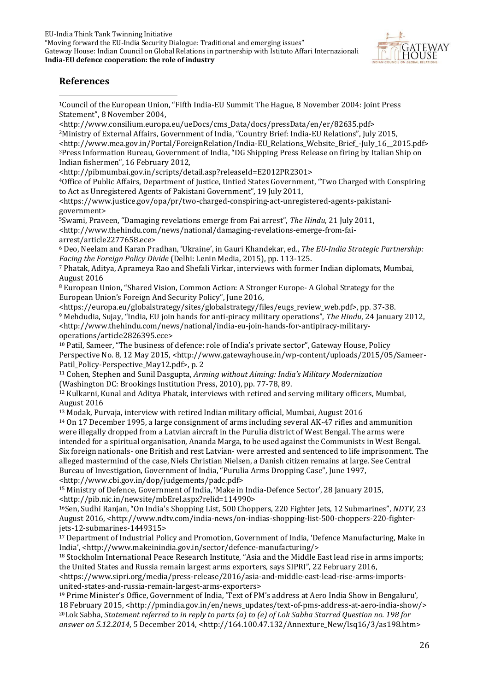

#### **References**

**.** <sup>1</sup>Council of the European Union, "Fifth India-EU Summit The Hague, 8 November 2004: Joint Press Statement", 8 November 2004,

<http://www.consilium.europa.eu/ueDocs/cms\_Data/docs/pressData/en/er/82635.pdf> <sup>2</sup>Ministry of External Affairs, Government of India, "Country Brief: India-EU Relations", July 2015, <http://www.mea.gov.in/Portal/ForeignRelation/India-EU\_Relations\_Website\_Brief\_-July\_16\_\_2015.pdf> <sup>3</sup>Press Information Bureau, Government of India, "DG Shipping Press Release on firing by Italian Ship on Indian fishermen", 16 February 2012,

<http://pibmumbai.gov.in/scripts/detail.asp?releaseId=E2012PR2301>

<sup>4</sup>Office of Public Affairs, Department of Justice, Untied States Government, "Two Charged with Conspiring to Act as Unregistered Agents of Pakistani Government", 19 July 2011,

<https://www.justice.gov/opa/pr/two-charged-conspiring-act-unregistered-agents-pakistanigovernment>

<sup>5</sup>Swami, Praveen, "Damaging revelations emerge from Fai arrest", *The Hindu*, 21 July 2011, <http://www.thehindu.com/news/national/damaging-revelations-emerge-from-faiarrest/article2277658.ece>

<sup>6</sup> Deo, Neelam and Karan Pradhan, 'Ukraine', in Gauri Khandekar, ed., *The EU-India Strategic Partnership: Facing the Foreign Policy Divide* (Delhi: Lenin Media, 2015), pp. 113-125.

<sup>7</sup> Phatak, Aditya, Aprameya Rao and Shefali Virkar, interviews with former Indian diplomats, Mumbai, August 2016

<sup>8</sup> European Union, "Shared Vision, Common Action: A Stronger Europe- A Global Strategy for the European Union's Foreign And Security Policy", June 2016,

<https://europa.eu/globalstrategy/sites/globalstrategy/files/eugs\_review\_web.pdf>, pp. 37-38. <sup>9</sup> Mehdudia, Sujay, "India, EU join hands for anti-piracy military operations", *The Hindu*, 24 January 2012, <http://www.thehindu.com/news/national/india-eu-join-hands-for-antipiracy-militaryoperations/article2826395.ece>

<sup>10</sup> Patil, Sameer, "The business of defence: role of India's private sector", Gateway House, Policy Perspective No. 8, 12 May 2015, <http://www.gatewayhouse.in/wp-content/uploads/2015/05/Sameer-Patil Policy-Perspective May12.pdf>, p. 2

<sup>11</sup> Cohen, Stephen and Sunil Dasgupta, *Arming without Aiming: India's Military Modernization* (Washington DC: Brookings Institution Press, 2010), pp. 77-78, 89.

<sup>12</sup> Kulkarni, Kunal and Aditya Phatak, interviews with retired and serving military officers, Mumbai, August 2016

<sup>13</sup> Modak, Purvaja, interview with retired Indian military official, Mumbai, August 2016

<sup>14</sup> On 17 December 1995, a large consignment of arms including several AK-47 rifles and ammunition were illegally dropped from a Latvian aircraft in the Purulia district of West Bengal. The arms were intended for a spiritual organisation, Ananda Marga, to be used against the Communists in West Bengal. Six foreign nationals- one British and rest Latvian- were arrested and sentenced to life imprisonment. The alleged mastermind of the case, Niels Christian Nielsen, a Danish citizen remains at large. See Central Bureau of Investigation, Government of India, "Purulia Arms Dropping Case", June 1997, <http://www.cbi.gov.in/dop/judgements/padc.pdf>

<sup>15</sup> Ministry of Defence, Government of India, 'Make in India-Defence Sector', 28 January 2015, <http://pib.nic.in/newsite/mbErel.aspx?relid=114990>

<sup>16</sup>Sen, Sudhi Ranjan, "On India's Shopping List, 500 Choppers, 220 Fighter Jets, 12 Submarines", *NDTV,* 23 August 2016, <http://www.ndtv.com/india-news/on-indias-shopping-list-500-choppers-220-fighterjets-12-submarines-1449315>

<sup>17</sup> Department of Industrial Policy and Promotion, Government of India, 'Defence Manufacturing, Make in India', <http://www.makeinindia.gov.in/sector/defence-manufacturing/>

<sup>18</sup> Stockholm International Peace Research Institute, "Asia and the Middle East lead rise in arms imports; the United States and Russia remain largest arms exporters, says SIPRI", 22 February 2016,

<https://www.sipri.org/media/press-release/2016/asia-and-middle-east-lead-rise-arms-importsunited-states-and-russia-remain-largest-arms-exporters>

<sup>19</sup> Prime Minister's Office, Government of India, 'Text of PM's address at Aero India Show in Bengaluru', 18 February 2015, <http://pmindia.gov.in/en/news\_updates/text-of-pms-address-at-aero-india-show/> <sup>20</sup>Lok Sabha, *Statement referred to in reply to parts (a) to (e) of Lok Sabha Starred Question no. 198 for answer on 5.12.2014*, 5 December 2014, <http://164.100.47.132/Annexture\_New/lsq16/3/as198.htm>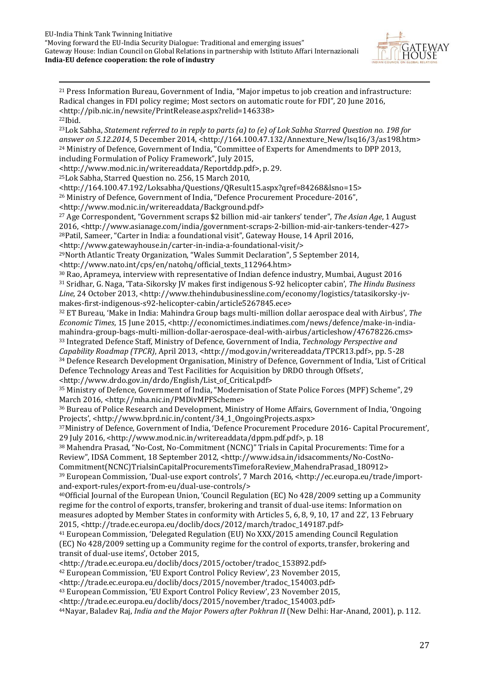

1 <sup>21</sup> Press Information Bureau, Government of India, "Major impetus to job creation and infrastructure: Radical changes in FDI policy regime; Most sectors on automatic route for FDI", 20 June 2016, <http://pib.nic.in/newsite/PrintRelease.aspx?relid=146338> <sup>22</sup>Ibid. <sup>23</sup>Lok Sabha, *Statement referred to in reply to parts (a) to (e) of Lok Sabha Starred Question no. 198 for answer on 5.12.2014*, 5 December 2014, <http://164.100.47.132/Annexture\_New/lsq16/3/as198.htm> <sup>24</sup> Ministry of Defence, Government of India, "Committee of Experts for Amendments to DPP 2013, including Formulation of Policy Framework", July 2015, <http://www.mod.nic.in/writereaddata/Reportddp.pdf>, p. 29. <sup>25</sup>Lok Sabha, Starred Question no. 256, 15 March 2010, <http://164.100.47.192/Loksabha/Questions/QResult15.aspx?qref=84268&lsno=15> <sup>26</sup> Ministry of Defence, Government of India, "Defence Procurement Procedure-2016", <http://www.mod.nic.in/writereaddata/Background.pdf> <sup>27</sup> Age Correspondent, "Government scraps \$2 billion mid-air tankers' tender", *The Asian Age*, 1 August 2016, <http://www.asianage.com/india/government-scraps-2-billion-mid-air-tankers-tender-427> <sup>28</sup>Patil, Sameer, "Carter in India: a foundational visit", Gateway House, 14 April 2016, <http://www.gatewayhouse.in/carter-in-india-a-foundational-visit/> <sup>29</sup>North Atlantic Treaty Organization, "Wales Summit Declaration", 5 September 2014, <http://www.nato.int/cps/en/natohq/official\_texts\_112964.htm> <sup>30</sup> Rao, Aprameya, interview with representative of Indian defence industry, Mumbai, August 2016 <sup>31</sup> Sridhar, G. Naga, 'Tata-Sikorsky JV makes first indigenous S-92 helicopter cabin', *The Hindu Business Line*, 24 October 2013, <http://www.thehindubusinessline.com/economy/logistics/tatasikorsky-jvmakes-first-indigenous-s92-helicopter-cabin/article5267845.ece> <sup>32</sup> ET Bureau, 'Make in India: Mahindra Group bags multi-million dollar aerospace deal with Airbus', *The Economic Times*, 15 June 2015, <http://economictimes.indiatimes.com/news/defence/make-in-indiamahindra-group-bags-multi-million-dollar-aerospace-deal-with-airbus/articleshow/47678226.cms> <sup>33</sup> Integrated Defence Staff, Ministry of Defence, Government of India, *Technology Perspective and Capability Roadmap (TPCR)*, April 2013, <http://mod.gov.in/writereaddata/TPCR13.pdf>, pp. 5-28 <sup>34</sup> Defence Research Development Organisation, Ministry of Defence, Government of India, 'List of Critical Defence Technology Areas and Test Facilities for Acquisition by DRDO through Offsets', <http://www.drdo.gov.in/drdo/English/List\_of\_Critical.pdf> <sup>35</sup> Ministry of Defence, Government of India, "Modernisation of State Police Forces (MPF) Scheme", 29 March 2016, <http://mha.nic.in/PMDivMPFScheme> <sup>36</sup> Bureau of Police Research and Development, Ministry of Home Affairs, Government of India, 'Ongoing Projects', <http://www.bprd.nic.in/content/34\_1\_OngoingProjects.aspx> <sup>37</sup>Ministry of Defence, Government of India, 'Defence Procurement Procedure 2016- Capital Procurement', 29 July 2016, <http://www.mod.nic.in/writereaddata/dppm.pdf.pdf>, p. 18 <sup>38</sup> Mahendra Prasad, "No-Cost, No-Commitment (NCNC)" Trials in Capital Procurements: Time for a Review", IDSA Comment, 18 September 2012, <http://www.idsa.in/idsacomments/No-CostNo-Commitment(NCNC)TrialsinCapitalProcurementsTimeforaReview\_MahendraPrasad\_180912> <sup>39</sup> European Commission, 'Dual-use export controls', 7 March 2016, <http://ec.europa.eu/trade/importand-export-rules/export-from-eu/dual-use-controls/> <sup>40</sup>Official Journal of the European Union, 'Council Regulation (EC) No 428/2009 setting up a Community regime for the control of exports, transfer, brokering and transit of dual-use items: Information on measures adopted by Member States in conformity with Articles 5, 6, 8, 9, 10, 17 and 22', 13 February 2015, <http://trade.ec.europa.eu/doclib/docs/2012/march/tradoc\_149187.pdf> <sup>41</sup> European Commission, 'Delegated Regulation (EU) No XXX/2015 amending Council Regulation (EC) No 428/2009 setting up a Community regime for the control of exports, transfer, brokering and transit of dual-use items', October 2015, <http://trade.ec.europa.eu/doclib/docs/2015/october/tradoc\_153892.pdf> <sup>42</sup> European Commission, 'EU Export Control Policy Review', 23 November 2015, <http://trade.ec.europa.eu/doclib/docs/2015/november/tradoc\_154003.pdf> <sup>43</sup> European Commission, 'EU Export Control Policy Review', 23 November 2015,

<http://trade.ec.europa.eu/doclib/docs/2015/november/tradoc\_154003.pdf> 44Nayar, Baladev Raj, *India and the Major Powers after Pokhran II* (New Delhi: Har-Anand, 2001), p. 112.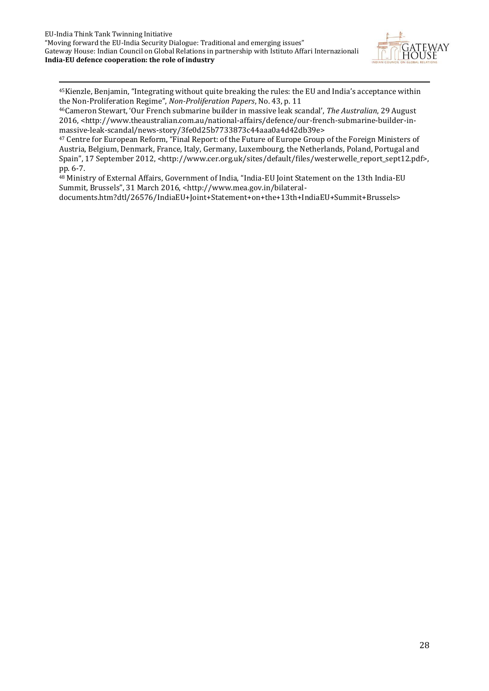

<sup>45</sup>Kienzle, Benjamin, "Integrating without quite breaking the rules: the EU and India's acceptance within the Non-Proliferation Regime", *Non-Proliferation Papers*, No. 43, p. 11

<sup>46</sup>Cameron Stewart, 'Our French submarine builder in massive leak scandal', *The Australian*, 29 August 2016, <http://www.theaustralian.com.au/national-affairs/defence/our-french-submarine-builder-inmassive-leak-scandal/news-story/3fe0d25b7733873c44aaa0a4d42db39e>

<sup>47</sup> Centre for European Reform, "Final Report: of the Future of Europe Group of the Foreign Ministers of Austria, Belgium, Denmark, France, Italy, Germany, Luxembourg, the Netherlands, Poland, Portugal and Spain", 17 September 2012, <http://www.cer.org.uk/sites/default/files/westerwelle\_report\_sept12.pdf>, pp. 6-7.

<sup>48</sup> Ministry of External Affairs, Government of India, "India-EU Joint Statement on the 13th India-EU Summit, Brussels", 31 March 2016, <http://www.mea.gov.in/bilateral-

documents.htm?dtl/26576/IndiaEU+Joint+Statement+on+the+13th+IndiaEU+Summit+Brussels>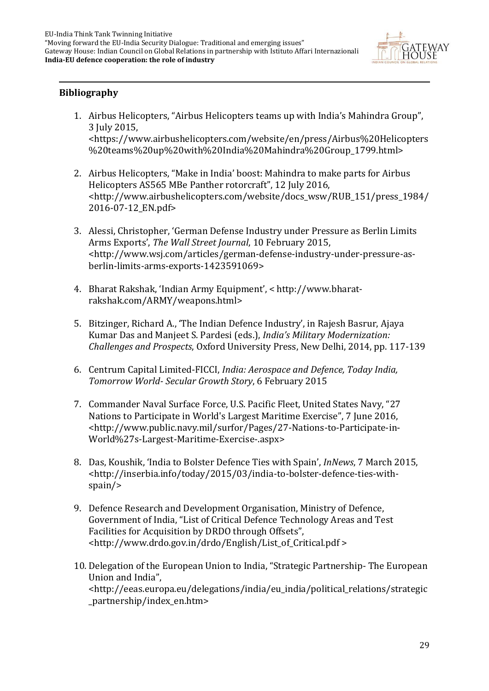

#### **Bibliography**

1

- 1. Airbus Helicopters, "Airbus Helicopters teams up with India's Mahindra Group", 3 July 2015, <https://www.airbushelicopters.com/website/en/press/Airbus%20Helicopters %20teams%20up%20with%20India%20Mahindra%20Group\_1799.html>
- 2. Airbus Helicopters, "Make in India' boost: Mahindra to make parts for Airbus Helicopters AS565 MBe Panther rotorcraft", 12 July 2016, <http://www.airbushelicopters.com/website/docs\_wsw/RUB\_151/press\_1984/ 2016-07-12\_EN.pdf>
- 3. Alessi, Christopher, 'German Defense Industry under Pressure as Berlin Limits Arms Exports', *The Wall Street Journal*, 10 February 2015, <http://www.wsj.com/articles/german-defense-industry-under-pressure-asberlin-limits-arms-exports-1423591069>
- 4. Bharat Rakshak, 'Indian Army Equipment', < http://www.bharatrakshak.com/ARMY/weapons.html>
- 5. Bitzinger, Richard A., 'The Indian Defence Industry', in Rajesh Basrur, Ajaya Kumar Das and Manjeet S. Pardesi (eds.), *India's Military Modernization: Challenges and Prospects*, Oxford University Press, New Delhi, 2014, pp. 117-139
- 6. Centrum Capital Limited-FICCI, *India: Aerospace and Defence, Today India, Tomorrow World- Secular Growth Story*, 6 February 2015
- 7. Commander Naval Surface Force, U.S. Pacific Fleet, United States Navy, "27 Nations to Participate in World's Largest Maritime Exercise", 7 June 2016, <http://www.public.navy.mil/surfor/Pages/27-Nations-to-Participate-in-World%27s-Largest-Maritime-Exercise-.aspx>
- 8. Das, Koushik, 'India to Bolster Defence Ties with Spain', *InNews*, 7 March 2015, <http://inserbia.info/today/2015/03/india-to-bolster-defence-ties-withspain/>
- 9. Defence Research and Development Organisation, Ministry of Defence, Government of India, "List of Critical Defence Technology Areas and Test Facilities for Acquisition by DRDO through Offsets", <http://www.drdo.gov.in/drdo/English/List\_of\_Critical.pdf >
- 10. Delegation of the European Union to India, "Strategic Partnership- The European Union and India",

<http://eeas.europa.eu/delegations/india/eu\_india/political\_relations/strategic \_partnership/index\_en.htm>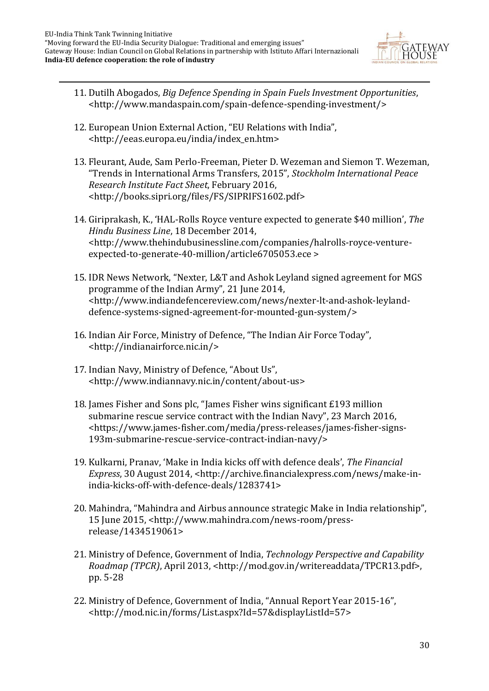

- 11. Dutilh Abogados, *Big Defence Spending in Spain Fuels Investment Opportunities*, <http://www.mandaspain.com/spain-defence-spending-investment/>
- 12. European Union External Action, "EU Relations with India", <http://eeas.europa.eu/india/index\_en.htm>
- 13. Fleurant, Aude, Sam Perlo-Freeman, Pieter D. Wezeman and Siemon T. Wezeman, "Trends in International Arms Transfers, 2015", *Stockholm International Peace Research Institute Fact Sheet*, February 2016, <http://books.sipri.org/files/FS/SIPRIFS1602.pdf>
- 14. Giriprakash, K., 'HAL-Rolls Royce venture expected to generate \$40 million', *The Hindu Business Line*, 18 December 2014, <http://www.thehindubusinessline.com/companies/halrolls-royce-ventureexpected-to-generate-40-million/article6705053.ece >
- 15. IDR News Network, "Nexter, L&T and Ashok Leyland signed agreement for MGS programme of the Indian Army", 21 June 2014, <http://www.indiandefencereview.com/news/nexter-lt-and-ashok-leylanddefence-systems-signed-agreement-for-mounted-gun-system/>
- 16. Indian Air Force, Ministry of Defence, "The Indian Air Force Today", <http://indianairforce.nic.in/>
- 17. Indian Navy, Ministry of Defence, "About Us", <http://www.indiannavy.nic.in/content/about-us>
- 18. James Fisher and Sons plc, "James Fisher wins significant £193 million submarine rescue service contract with the Indian Navy", 23 March 2016, <https://www.james-fisher.com/media/press-releases/james-fisher-signs-193m-submarine-rescue-service-contract-indian-navy/>
- 19. Kulkarni, Pranav, 'Make in India kicks off with defence deals', *The Financial Express*, 30 August 2014, <http://archive.financialexpress.com/news/make-inindia-kicks-off-with-defence-deals/1283741>
- 20. Mahindra, "Mahindra and Airbus announce strategic Make in India relationship", 15 June 2015, <http://www.mahindra.com/news-room/pressrelease/1434519061>
- 21. Ministry of Defence, Government of India, *Technology Perspective and Capability Roadmap (TPCR)*, April 2013, <http://mod.gov.in/writereaddata/TPCR13.pdf>, pp. 5-28
- 22. Ministry of Defence, Government of India, "Annual Report Year 2015-16", <http://mod.nic.in/forms/List.aspx?Id=57&displayListId=57>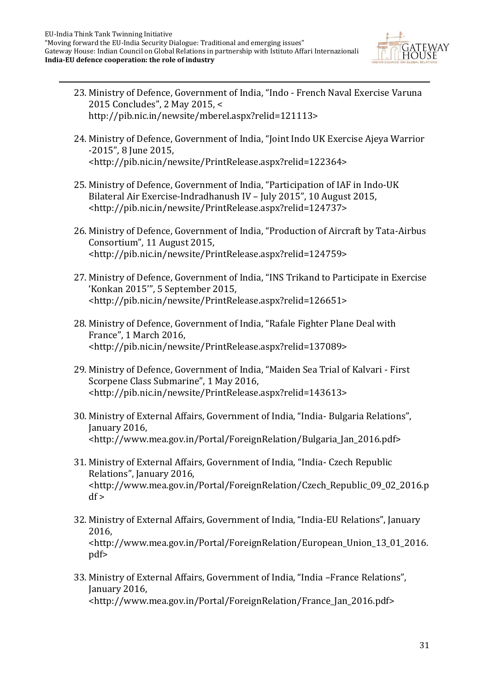

- 23. Ministry of Defence, Government of India, "Indo French Naval Exercise Varuna 2015 Concludes", 2 May 2015, < http://pib.nic.in/newsite/mberel.aspx?relid=121113>
- 24. Ministry of Defence, Government of India, "Joint Indo UK Exercise Ajeya Warrior -2015", 8 June 2015, <http://pib.nic.in/newsite/PrintRelease.aspx?relid=122364>
- 25. Ministry of Defence, Government of India, "Participation of IAF in Indo-UK Bilateral Air Exercise-Indradhanush IV – July 2015", 10 August 2015, <http://pib.nic.in/newsite/PrintRelease.aspx?relid=124737>
- 26. Ministry of Defence, Government of India, "Production of Aircraft by Tata-Airbus Consortium", 11 August 2015, <http://pib.nic.in/newsite/PrintRelease.aspx?relid=124759>
- 27. Ministry of Defence, Government of India, "INS Trikand to Participate in Exercise 'Konkan 2015'", 5 September 2015, <http://pib.nic.in/newsite/PrintRelease.aspx?relid=126651>
- 28. Ministry of Defence, Government of India, "Rafale Fighter Plane Deal with France", 1 March 2016, <http://pib.nic.in/newsite/PrintRelease.aspx?relid=137089>
- 29. Ministry of Defence, Government of India, "Maiden Sea Trial of Kalvari First Scorpene Class Submarine", 1 May 2016, <http://pib.nic.in/newsite/PrintRelease.aspx?relid=143613>
- 30. Ministry of External Affairs, Government of India, "India- Bulgaria Relations", January 2016, <http://www.mea.gov.in/Portal/ForeignRelation/Bulgaria\_Jan\_2016.pdf>
- 31. Ministry of External Affairs, Government of India, "India- Czech Republic Relations", January 2016, <http://www.mea.gov.in/Portal/ForeignRelation/Czech\_Republic\_09\_02\_2016.p  $df$  >
- 32. Ministry of External Affairs, Government of India, "India-EU Relations", January 2016, <http://www.mea.gov.in/Portal/ForeignRelation/European\_Union\_13\_01\_2016. pdf>
- 33. Ministry of External Affairs, Government of India, "India –France Relations", January 2016, <http://www.mea.gov.in/Portal/ForeignRelation/France\_Jan\_2016.pdf>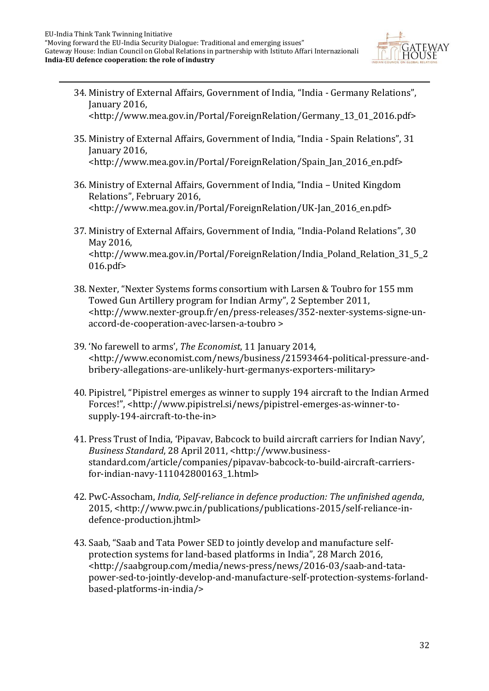

- 34. Ministry of External Affairs, Government of India, "India Germany Relations", January 2016,
	- <http://www.mea.gov.in/Portal/ForeignRelation/Germany\_13\_01\_2016.pdf>
- 35. Ministry of External Affairs, Government of India, "India Spain Relations", 31 January 2016, <http://www.mea.gov.in/Portal/ForeignRelation/Spain\_Jan\_2016\_en.pdf>
- 36. Ministry of External Affairs, Government of India, "India United Kingdom Relations", February 2016, <http://www.mea.gov.in/Portal/ForeignRelation/UK-Jan\_2016\_en.pdf>
- 37. Ministry of External Affairs, Government of India, "India-Poland Relations", 30 May 2016, <http://www.mea.gov.in/Portal/ForeignRelation/India\_Poland\_Relation\_31\_5\_2 016.pdf>
- 38. Nexter, "Nexter Systems forms consortium with Larsen & Toubro for 155 mm Towed Gun Artillery program for Indian Army", 2 September 2011, <http://www.nexter-group.fr/en/press-releases/352-nexter-systems-signe-unaccord-de-cooperation-avec-larsen-a-toubro >
- 39. 'No farewell to arms', *The Economist*, 11 January 2014, <http://www.economist.com/news/business/21593464-political-pressure-andbribery-allegations-are-unlikely-hurt-germanys-exporters-military>
- 40. Pipistrel, "Pipistrel emerges as winner to supply 194 aircraft to the Indian Armed Forces!", <http://www.pipistrel.si/news/pipistrel-emerges-as-winner-tosupply-194-aircraft-to-the-in>
- 41. Press Trust of India, 'Pipavav, Babcock to build aircraft carriers for Indian Navy', *Business Standard*, 28 April 2011, <http://www.businessstandard.com/article/companies/pipavav-babcock-to-build-aircraft-carriersfor-indian-navy-111042800163\_1.html>
- 42. PwC-Assocham, *India, Self-reliance in defence production: The unfinished agenda*, 2015, <http://www.pwc.in/publications/publications-2015/self-reliance-indefence-production.jhtml>
- 43. Saab, "Saab and Tata Power SED to jointly develop and manufacture selfprotection systems for land-based platforms in India", 28 March 2016, <http://saabgroup.com/media/news-press/news/2016-03/saab-and-tatapower-sed-to-jointly-develop-and-manufacture-self-protection-systems-forlandbased-platforms-in-india/>